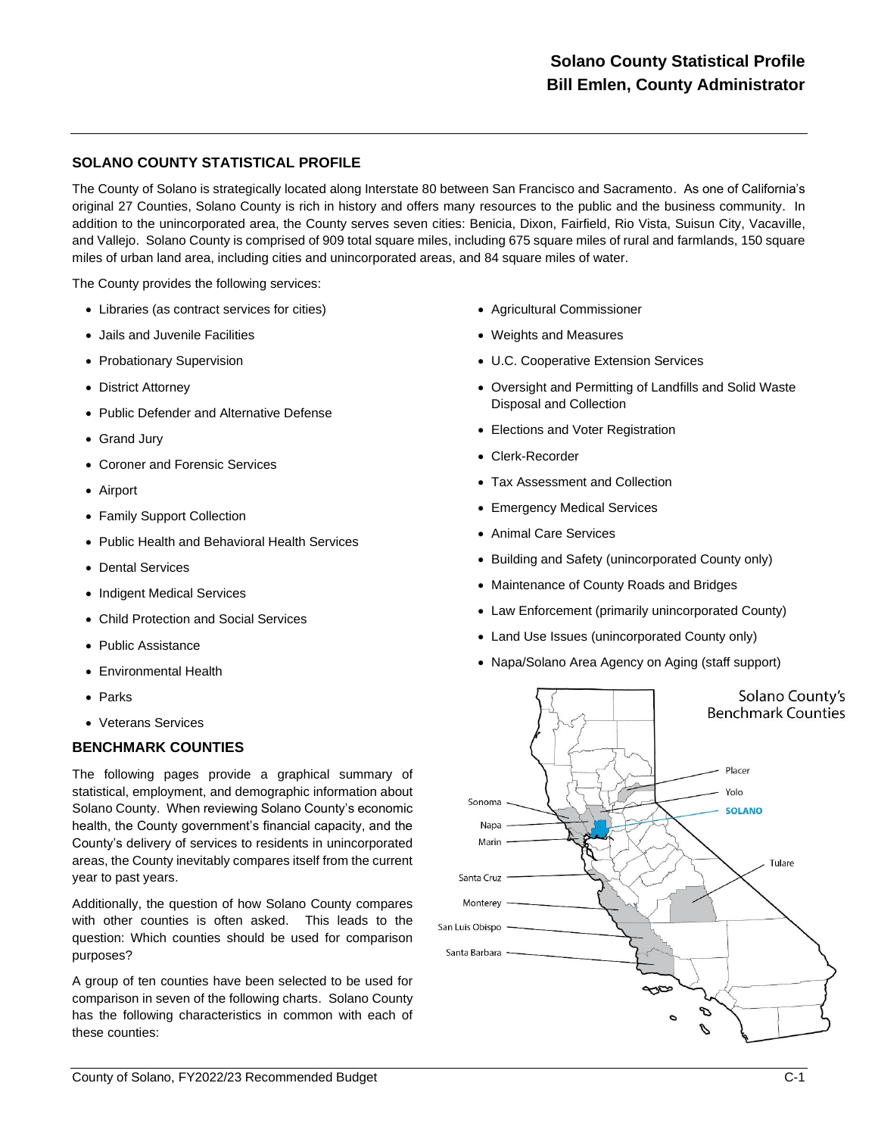# **SOLANO COUNTY STATISTICAL PROFILE**

The County of Solano is strategically located along Interstate 80 between San Francisco and Sacramento. As one of California's original 27 Counties, Solano County is rich in history and offers many resources to the public and the business community. In addition to the unincorporated area, the County serves seven cities: Benicia, Dixon, Fairfield, Rio Vista, Suisun City, Vacaville, and Vallejo. Solano County is comprised of 909 total square miles, including 675 square miles of rural and farmlands, 150 square miles of urban land area, including cities and unincorporated areas, and 84 square miles of water.

The County provides the following services:

- Libraries (as contract services for cities)
- Jails and Juvenile Facilities
- Probationary Supervision
- District Attorney
- Public Defender and Alternative Defense
- Grand Jury
- Coroner and Forensic Services
- Airport
- Family Support Collection
- Public Health and Behavioral Health Services
- Dental Services
- Indigent Medical Services
- Child Protection and Social Services
- Public Assistance
- Environmental Health
- **Parks**
- Veterans Services

### **BENCHMARK COUNTIES**

The following pages provide a graphical summary of statistical, employment, and demographic information about Solano County. When reviewing Solano County's economic health, the County government's financial capacity, and the County's delivery of services to residents in unincorporated areas, the County inevitably compares itself from the current year to past years.

Additionally, the question of how Solano County compares with other counties is often asked. This leads to the question: Which counties should be used for comparison purposes?

A group of ten counties have been selected to be used for comparison in seven of the following charts. Solano County has the following characteristics in common with each of these counties:

- Agricultural Commissioner
- Weights and Measures
- U.C. Cooperative Extension Services
- Oversight and Permitting of Landfills and Solid Waste Disposal and Collection
- Elections and Voter Registration
- Clerk-Recorder
- Tax Assessment and Collection
- Emergency Medical Services
- Animal Care Services
- Building and Safety (unincorporated County only)
- Maintenance of County Roads and Bridges
- Law Enforcement (primarily unincorporated County)
- Land Use Issues (unincorporated County only)
- Napa/Solano Area Agency on Aging (staff support)

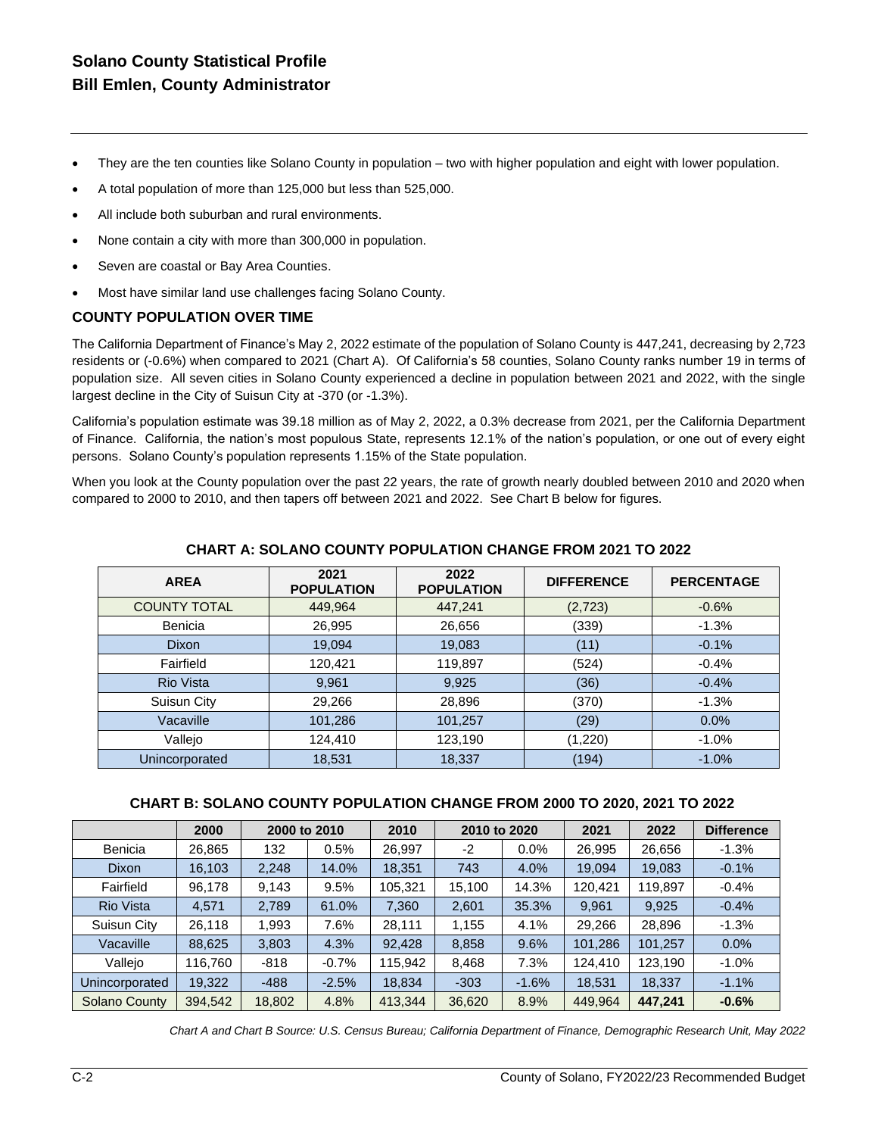# **Solano County Statistical Profile Bill Emlen, County Administrator**

- They are the ten counties like Solano County in population two with higher population and eight with lower population.
- A total population of more than 125,000 but less than 525,000.
- All include both suburban and rural environments.
- None contain a city with more than 300,000 in population.
- Seven are coastal or Bay Area Counties.
- Most have similar land use challenges facing Solano County.

### **COUNTY POPULATION OVER TIME**

The California Department of Finance's May 2, 2022 estimate of the population of Solano County is 447,241, decreasing by 2,723 residents or (-0.6%) when compared to 2021 (Chart A). Of California's 58 counties, Solano County ranks number 19 in terms of population size. All seven cities in Solano County experienced a decline in population between 2021 and 2022, with the single largest decline in the City of Suisun City at -370 (or -1.3%).

California's population estimate was 39.18 million as of May 2, 2022, a 0.3% decrease from 2021, per the California Department of Finance. California, the nation's most populous State, represents 12.1% of the nation's population, or one out of every eight persons. Solano County's population represents 1.15% of the State population.

When you look at the County population over the past 22 years, the rate of growth nearly doubled between 2010 and 2020 when compared to 2000 to 2010, and then tapers off between 2021 and 2022. See Chart B below for figures.

| <b>AREA</b>         | 2021<br><b>POPULATION</b> | 2022<br><b>POPULATION</b> | <b>DIFFERENCE</b> | <b>PERCENTAGE</b> |
|---------------------|---------------------------|---------------------------|-------------------|-------------------|
| <b>COUNTY TOTAL</b> | 449,964                   | 447,241                   | (2, 723)          | $-0.6%$           |
| Benicia             | 26,995                    | 26,656                    | (339)             | $-1.3%$           |
| <b>Dixon</b>        | 19,094                    | 19,083                    | (11)              | $-0.1%$           |
| Fairfield           | 120,421                   | 119,897                   | (524)             | $-0.4%$           |
| <b>Rio Vista</b>    | 9,961                     | 9,925                     | (36)              | $-0.4%$           |
| Suisun City         | 29,266                    | 28,896                    | (370)             | $-1.3%$           |
| Vacaville           | 101,286                   | 101,257                   | (29)              | 0.0%              |
| Vallejo             | 124,410                   | 123,190                   | (1,220)           | $-1.0%$           |
| Unincorporated      | 18,531                    | 18,337                    | (194)             | $-1.0%$           |

#### **CHART A: SOLANO COUNTY POPULATION CHANGE FROM 2021 TO 2022**

#### **CHART B: SOLANO COUNTY POPULATION CHANGE FROM 2000 TO 2020, 2021 TO 2022**

|                      | 2000    | 2000 to 2010 |         | 2010    | 2010 to 2020 |         | 2021    | 2022    | <b>Difference</b> |
|----------------------|---------|--------------|---------|---------|--------------|---------|---------|---------|-------------------|
| Benicia              | 26,865  | 132          | 0.5%    | 26.997  | -2           | $0.0\%$ | 26,995  | 26,656  | $-1.3%$           |
| <b>Dixon</b>         | 16,103  | 2.248        | 14.0%   | 18,351  | 743          | 4.0%    | 19,094  | 19,083  | $-0.1%$           |
| Fairfield            | 96.178  | 9.143        | 9.5%    | 105.321 | 15.100       | 14.3%   | 120.421 | 119.897 | $-0.4%$           |
| <b>Rio Vista</b>     | 4,571   | 2,789        | 61.0%   | 7,360   | 2,601        | 35.3%   | 9,961   | 9,925   | $-0.4%$           |
| Suisun City          | 26,118  | 1,993        | 7.6%    | 28,111  | 1,155        | 4.1%    | 29,266  | 28,896  | $-1.3%$           |
| Vacaville            | 88.625  | 3.803        | 4.3%    | 92.428  | 8,858        | 9.6%    | 101,286 | 101,257 | 0.0%              |
| Vallejo              | 116.760 | $-818$       | $-0.7%$ | 115.942 | 8,468        | 7.3%    | 124,410 | 123,190 | $-1.0%$           |
| Unincorporated       | 19.322  | $-488$       | $-2.5%$ | 18,834  | $-303$       | $-1.6%$ | 18,531  | 18,337  | $-1.1%$           |
| <b>Solano County</b> | 394,542 | 18,802       | 4.8%    | 413,344 | 36,620       | 8.9%    | 449,964 | 447,241 | $-0.6%$           |

*Chart A and Chart B Source: U.S. Census Bureau; California Department of Finance, Demographic Research Unit, May 2022*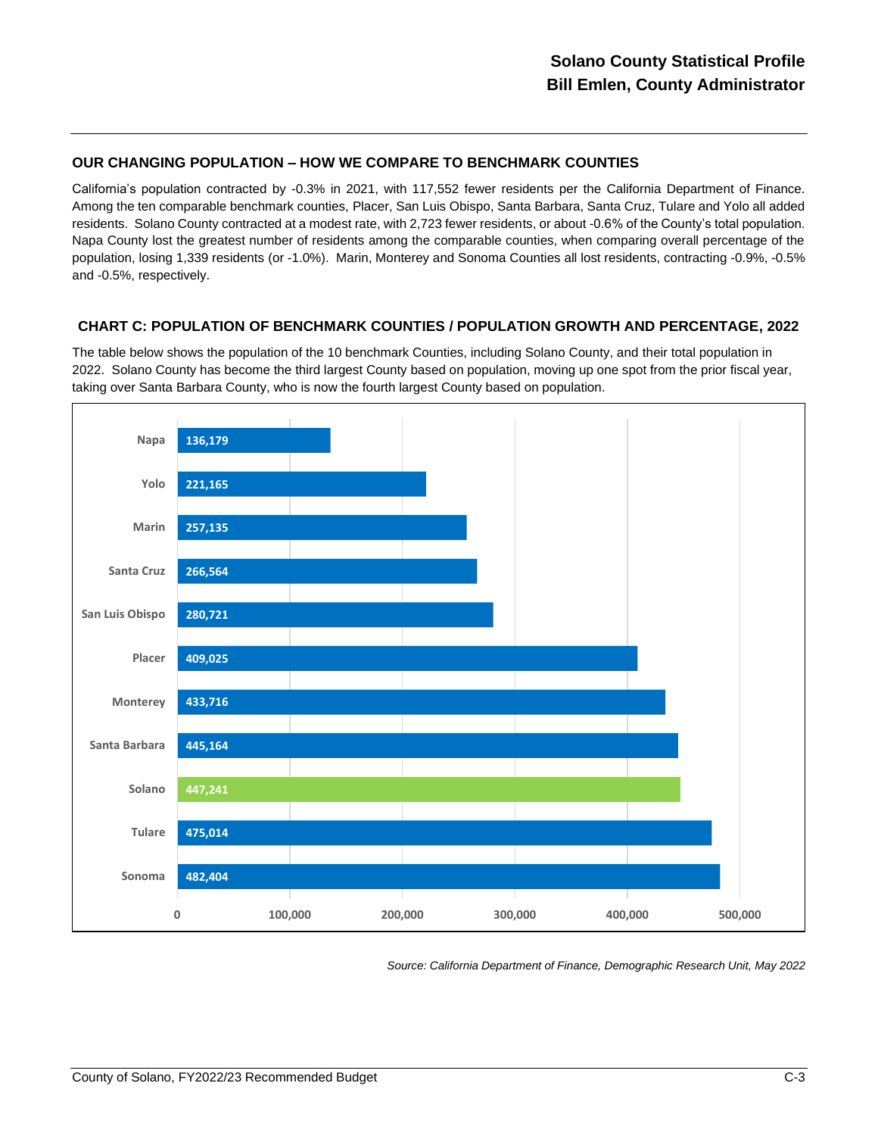### **OUR CHANGING POPULATION – HOW WE COMPARE TO BENCHMARK COUNTIES**

California's population contracted by -0.3% in 2021, with 117,552 fewer residents per the California Department of Finance. Among the ten comparable benchmark counties, Placer, San Luis Obispo, Santa Barbara, Santa Cruz, Tulare and Yolo all added residents. Solano County contracted at a modest rate, with 2,723 fewer residents, or about -0.6% of the County's total population. Napa County lost the greatest number of residents among the comparable counties, when comparing overall percentage of the population, losing 1,339 residents (or -1.0%). Marin, Monterey and Sonoma Counties all lost residents, contracting -0.9%, -0.5% and -0.5%, respectively.

### **CHART C: POPULATION OF BENCHMARK COUNTIES / POPULATION GROWTH AND PERCENTAGE, 2022**

The table below shows the population of the 10 benchmark Counties, including Solano County, and their total population in 2022. Solano County has become the third largest County based on population, moving up one spot from the prior fiscal year, taking over Santa Barbara County, who is now the fourth largest County based on population.



*Source: California Department of Finance, Demographic Research Unit, May 2022*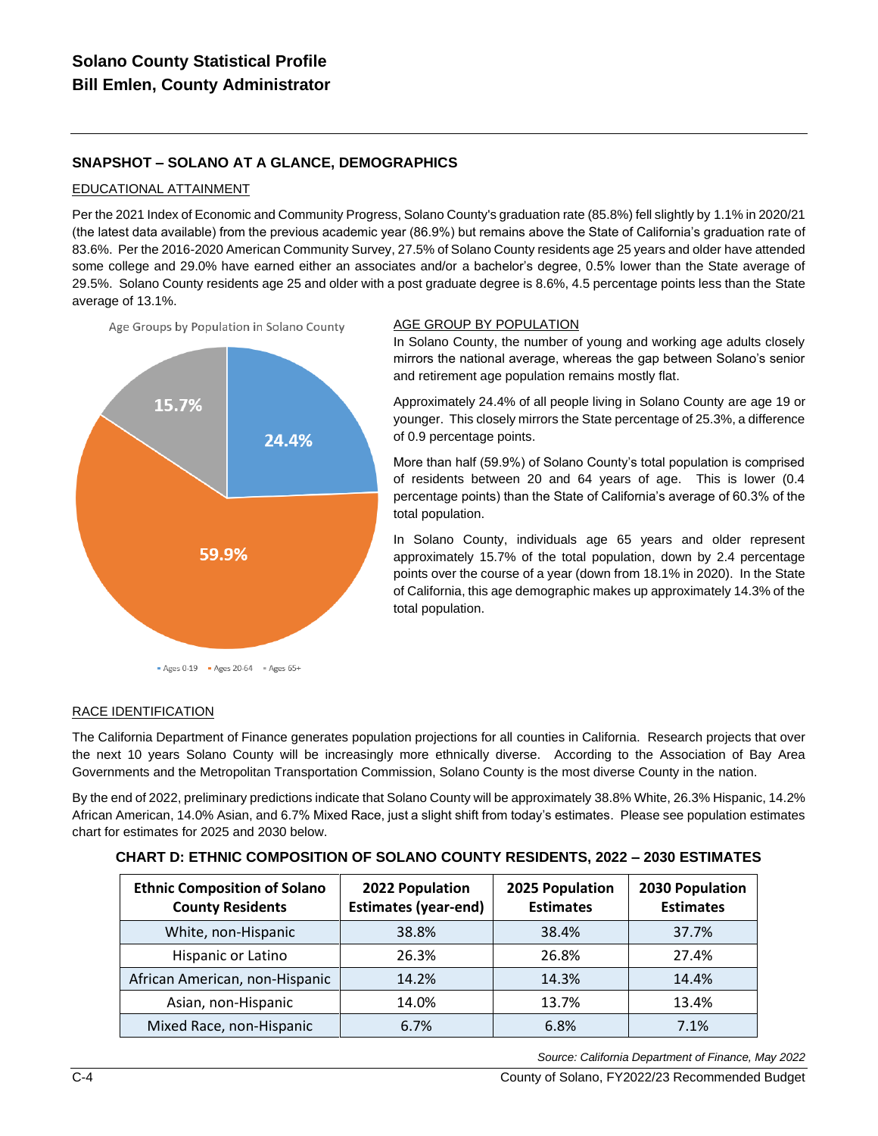# **SNAPSHOT – SOLANO AT A GLANCE, DEMOGRAPHICS**

### EDUCATIONAL ATTAINMENT

Per the 2021 Index of Economic and Community Progress, Solano County's graduation rate (85.8%) fell slightly by 1.1% in 2020/21 (the latest data available) from the previous academic year (86.9%) but remains above the State of California's graduation rate of 83.6%. Per the 2016-2020 American Community Survey, 27.5% of Solano County residents age 25 years and older have attended some college and 29.0% have earned either an associates and/or a bachelor's degree, 0.5% lower than the State average of 29.5%. Solano County residents age 25 and older with a post graduate degree is 8.6%, 4.5 percentage points less than the State average of 13.1%.





#### AGE GROUP BY POPULATION

In Solano County, the number of young and working age adults closely mirrors the national average, whereas the gap between Solano's senior and retirement age population remains mostly flat.

Approximately 24.4% of all people living in Solano County are age 19 or younger. This closely mirrors the State percentage of 25.3%, a difference of 0.9 percentage points.

More than half (59.9%) of Solano County's total population is comprised of residents between 20 and 64 years of age. This is lower (0.4 percentage points) than the State of California's average of 60.3% of the total population.

In Solano County, individuals age 65 years and older represent approximately 15.7% of the total population, down by 2.4 percentage points over the course of a year (down from 18.1% in 2020). In the State of California, this age demographic makes up approximately 14.3% of the total population.

#### RACE IDENTIFICATION

The California Department of Finance generates population projections for all counties in California. Research projects that over the next 10 years Solano County will be increasingly more ethnically diverse. According to the Association of Bay Area Governments and the Metropolitan Transportation Commission, Solano County is the most diverse County in the nation.

By the end of 2022, preliminary predictions indicate that Solano County will be approximately 38.8% White, 26.3% Hispanic, 14.2% African American, 14.0% Asian, and 6.7% Mixed Race, just a slight shift from today's estimates. Please see population estimates chart for estimates for 2025 and 2030 below.

| <b>Ethnic Composition of Solano</b><br><b>County Residents</b> | 2022 Population<br><b>Estimates (year-end)</b> | 2025 Population<br><b>Estimates</b> | 2030 Population<br><b>Estimates</b> |
|----------------------------------------------------------------|------------------------------------------------|-------------------------------------|-------------------------------------|
| White, non-Hispanic                                            | 38.8%                                          | 38.4%                               | 37.7%                               |
| Hispanic or Latino                                             | 26.3%                                          | 26.8%                               | 27.4%                               |
| African American, non-Hispanic                                 | 14.2%                                          | 14.3%                               | 14.4%                               |
| Asian, non-Hispanic                                            | 14.0%                                          | 13.7%                               | 13.4%                               |
| Mixed Race, non-Hispanic                                       | 6.7%                                           | 6.8%                                | 7.1%                                |

|  |  | CHART D: ETHNIC COMPOSITION OF SOLANO COUNTY RESIDENTS, 2022 – 2030 ESTIMATES |  |
|--|--|-------------------------------------------------------------------------------|--|
|  |  |                                                                               |  |

*Source: California Department of Finance, May 2022*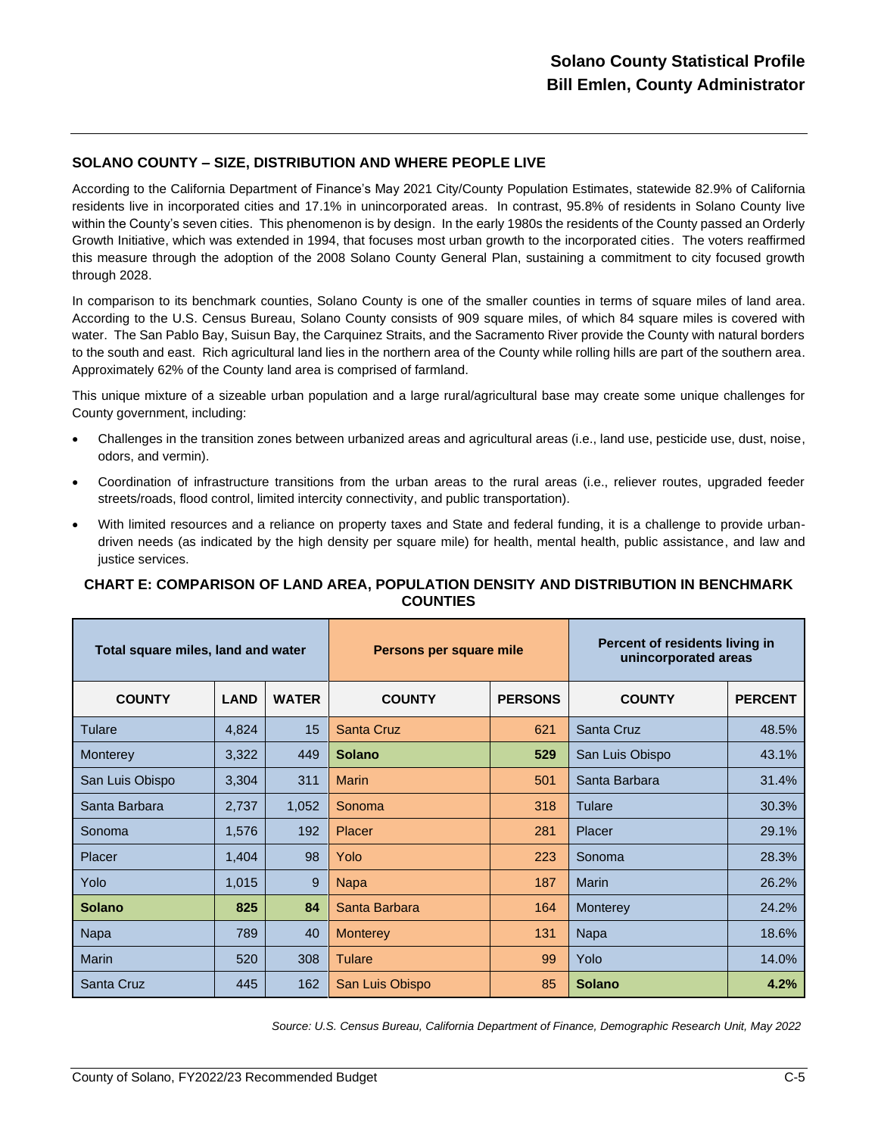### **SOLANO COUNTY – SIZE, DISTRIBUTION AND WHERE PEOPLE LIVE**

According to the California Department of Finance's May 2021 City/County Population Estimates, statewide 82.9% of California residents live in incorporated cities and 17.1% in unincorporated areas. In contrast, 95.8% of residents in Solano County live within the County's seven cities. This phenomenon is by design. In the early 1980s the residents of the County passed an Orderly Growth Initiative, which was extended in 1994, that focuses most urban growth to the incorporated cities. The voters reaffirmed this measure through the adoption of the 2008 Solano County General Plan, sustaining a commitment to city focused growth through 2028.

In comparison to its benchmark counties, Solano County is one of the smaller counties in terms of square miles of land area. According to the U.S. Census Bureau, Solano County consists of 909 square miles, of which 84 square miles is covered with water. The San Pablo Bay, Suisun Bay, the Carquinez Straits, and the Sacramento River provide the County with natural borders to the south and east. Rich agricultural land lies in the northern area of the County while rolling hills are part of the southern area. Approximately 62% of the County land area is comprised of farmland.

This unique mixture of a sizeable urban population and a large rural/agricultural base may create some unique challenges for County government, including:

- Challenges in the transition zones between urbanized areas and agricultural areas (i.e., land use, pesticide use, dust, noise, odors, and vermin).
- Coordination of infrastructure transitions from the urban areas to the rural areas (i.e., reliever routes, upgraded feeder streets/roads, flood control, limited intercity connectivity, and public transportation).
- With limited resources and a reliance on property taxes and State and federal funding, it is a challenge to provide urbandriven needs (as indicated by the high density per square mile) for health, mental health, public assistance, and law and justice services.

### **CHART E: COMPARISON OF LAND AREA, POPULATION DENSITY AND DISTRIBUTION IN BENCHMARK COUNTIES**

| Total square miles, land and water |             | Persons per square mile |                   | Percent of residents living in<br>unincorporated areas |                   |                |
|------------------------------------|-------------|-------------------------|-------------------|--------------------------------------------------------|-------------------|----------------|
| <b>COUNTY</b>                      | <b>LAND</b> | <b>WATER</b>            | <b>COUNTY</b>     | <b>PERSONS</b>                                         | <b>COUNTY</b>     | <b>PERCENT</b> |
| Tulare                             | 4,824       | 15                      | <b>Santa Cruz</b> | 621                                                    | <b>Santa Cruz</b> | 48.5%          |
| <b>Monterey</b>                    | 3,322       | 449                     | <b>Solano</b>     | 529                                                    | San Luis Obispo   | 43.1%          |
| San Luis Obispo                    | 3,304       | 311                     | <b>Marin</b>      | 501                                                    | Santa Barbara     | 31.4%          |
| Santa Barbara                      | 2,737       | 1,052                   | Sonoma            | 318                                                    | Tulare            | 30.3%          |
| Sonoma                             | 1,576       | 192                     | Placer            | 281                                                    | Placer            | 29.1%          |
| Placer                             | 1,404       | 98                      | Yolo              | 223                                                    | Sonoma            | 28.3%          |
| Yolo                               | 1,015       | 9                       | <b>Napa</b>       | 187                                                    | <b>Marin</b>      | 26.2%          |
| <b>Solano</b>                      | 825         | 84                      | Santa Barbara     | 164                                                    | Monterey          | 24.2%          |
| Napa                               | 789         | 40                      | <b>Monterey</b>   | 131                                                    | Napa              | 18.6%          |
| <b>Marin</b>                       | 520         | 308                     | <b>Tulare</b>     | 99                                                     | Yolo              | 14.0%          |
| Santa Cruz                         | 445         | 162                     | San Luis Obispo   | 85                                                     | <b>Solano</b>     | 4.2%           |

*Source: U.S. Census Bureau, California Department of Finance, Demographic Research Unit, May 2022*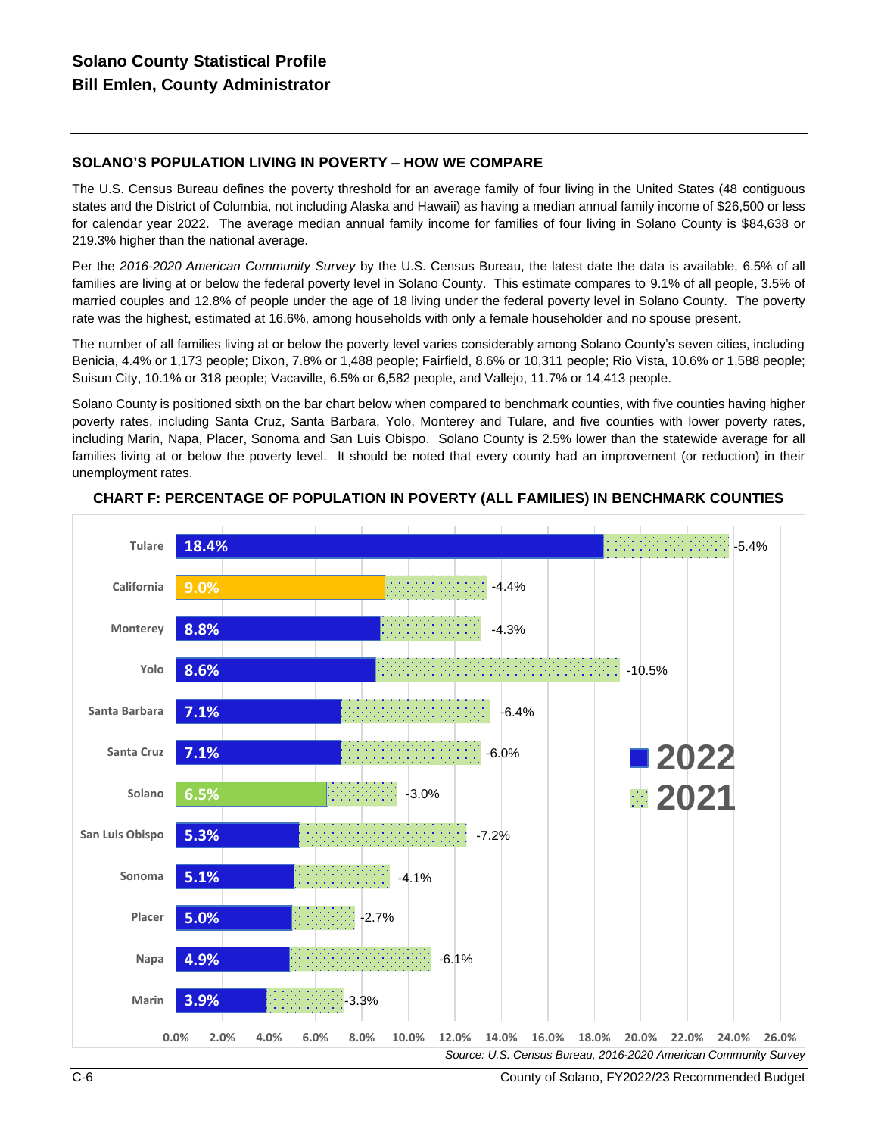# **SOLANO'S POPULATION LIVING IN POVERTY – HOW WE COMPARE**

The U.S. Census Bureau defines the poverty threshold for an average family of four living in the United States (48 contiguous states and the District of Columbia, not including Alaska and Hawaii) as having a median annual family income of \$26,500 or less for calendar year 2022. The average median annual family income for families of four living in Solano County is \$84,638 or 219.3% higher than the national average.

Per the *2016-2020 American Community Survey* by the U.S. Census Bureau, the latest date the data is available, 6.5% of all families are living at or below the federal poverty level in Solano County. This estimate compares to 9.1% of all people, 3.5% of married couples and 12.8% of people under the age of 18 living under the federal poverty level in Solano County. The poverty rate was the highest, estimated at 16.6%, among households with only a female householder and no spouse present.

The number of all families living at or below the poverty level varies considerably among Solano County's seven cities, including Benicia, 4.4% or 1,173 people; Dixon, 7.8% or 1,488 people; Fairfield, 8.6% or 10,311 people; Rio Vista, 10.6% or 1,588 people; Suisun City, 10.1% or 318 people; Vacaville, 6.5% or 6,582 people, and Vallejo, 11.7% or 14,413 people.

Solano County is positioned sixth on the bar chart below when compared to benchmark counties, with five counties having higher poverty rates, including Santa Cruz, Santa Barbara, Yolo, Monterey and Tulare, and five counties with lower poverty rates, including Marin, Napa, Placer, Sonoma and San Luis Obispo. Solano County is 2.5% lower than the statewide average for all families living at or below the poverty level. It should be noted that every county had an improvement (or reduction) in their unemployment rates.



### **CHART F: PERCENTAGE OF POPULATION IN POVERTY (ALL FAMILIES) IN BENCHMARK COUNTIES**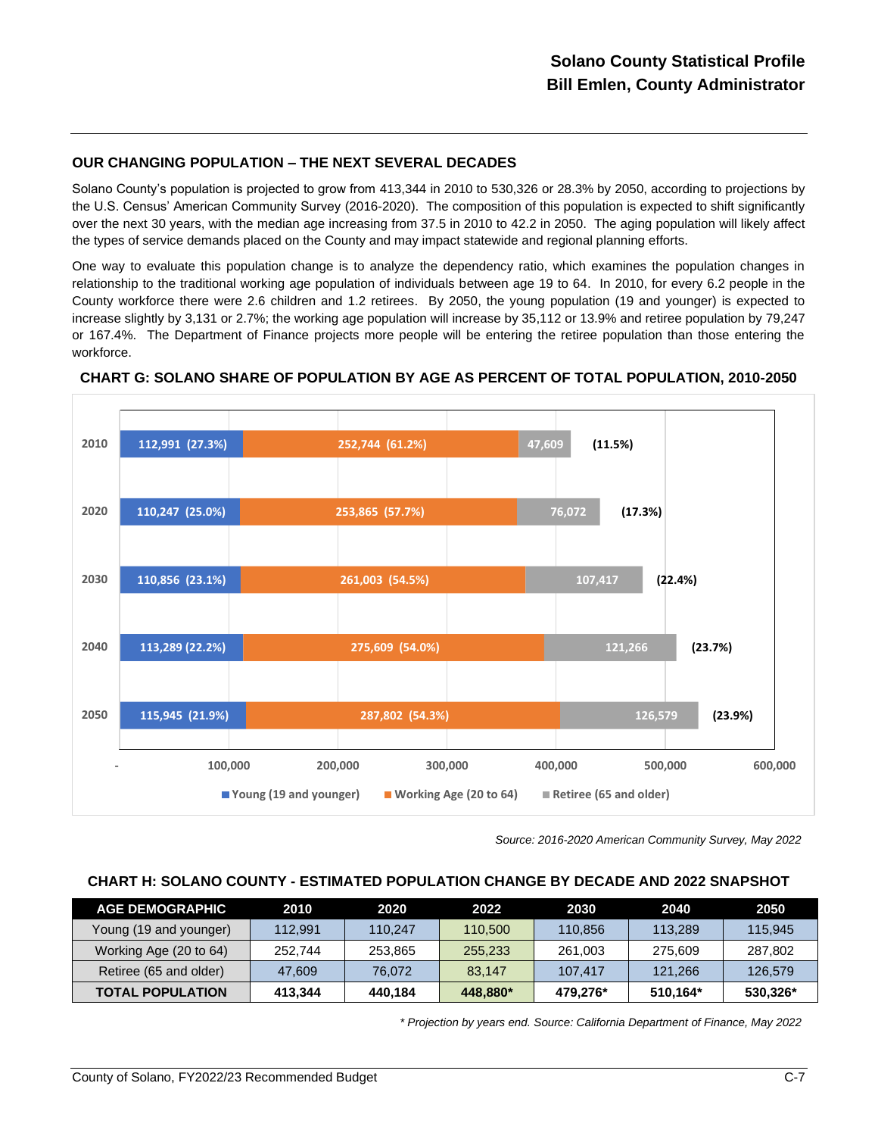# **OUR CHANGING POPULATION – THE NEXT SEVERAL DECADES**

Solano County's population is projected to grow from 413,344 in 2010 to 530,326 or 28.3% by 2050, according to projections by the U.S. Census' American Community Survey (2016-2020). The composition of this population is expected to shift significantly over the next 30 years, with the median age increasing from 37.5 in 2010 to 42.2 in 2050. The aging population will likely affect the types of service demands placed on the County and may impact statewide and regional planning efforts.

One way to evaluate this population change is to analyze the dependency ratio, which examines the population changes in relationship to the traditional working age population of individuals between age 19 to 64. In 2010, for every 6.2 people in the County workforce there were 2.6 children and 1.2 retirees. By 2050, the young population (19 and younger) is expected to increase slightly by 3,131 or 2.7%; the working age population will increase by 35,112 or 13.9% and retiree population by 79,247 or 167.4%. The Department of Finance projects more people will be entering the retiree population than those entering the workforce.



**CHART G: SOLANO SHARE OF POPULATION BY AGE AS PERCENT OF TOTAL POPULATION, 2010-2050**

*Source: 2016-2020 American Community Survey, May 2022*

#### **CHART H: SOLANO COUNTY - ESTIMATED POPULATION CHANGE BY DECADE AND 2022 SNAPSHOT**

| <b>AGE DEMOGRAPHIC</b>  | 2010    | 2020    | 2022     | 2030     | 2040     | 2050     |
|-------------------------|---------|---------|----------|----------|----------|----------|
| Young (19 and younger)  | 112.991 | 110.247 | 110.500  | 110.856  | 113,289  | 115.945  |
| Working Age (20 to 64)  | 252.744 | 253.865 | 255.233  | 261,003  | 275.609  | 287.802  |
| Retiree (65 and older)  | 47.609  | 76.072  | 83.147   | 107.417  | 121.266  | 126,579  |
| <b>TOTAL POPULATION</b> | 413.344 | 440.184 | 448.880* | 479.276* | 510.164* | 530,326* |

*\* Projection by years end. Source: California Department of Finance, May 2022*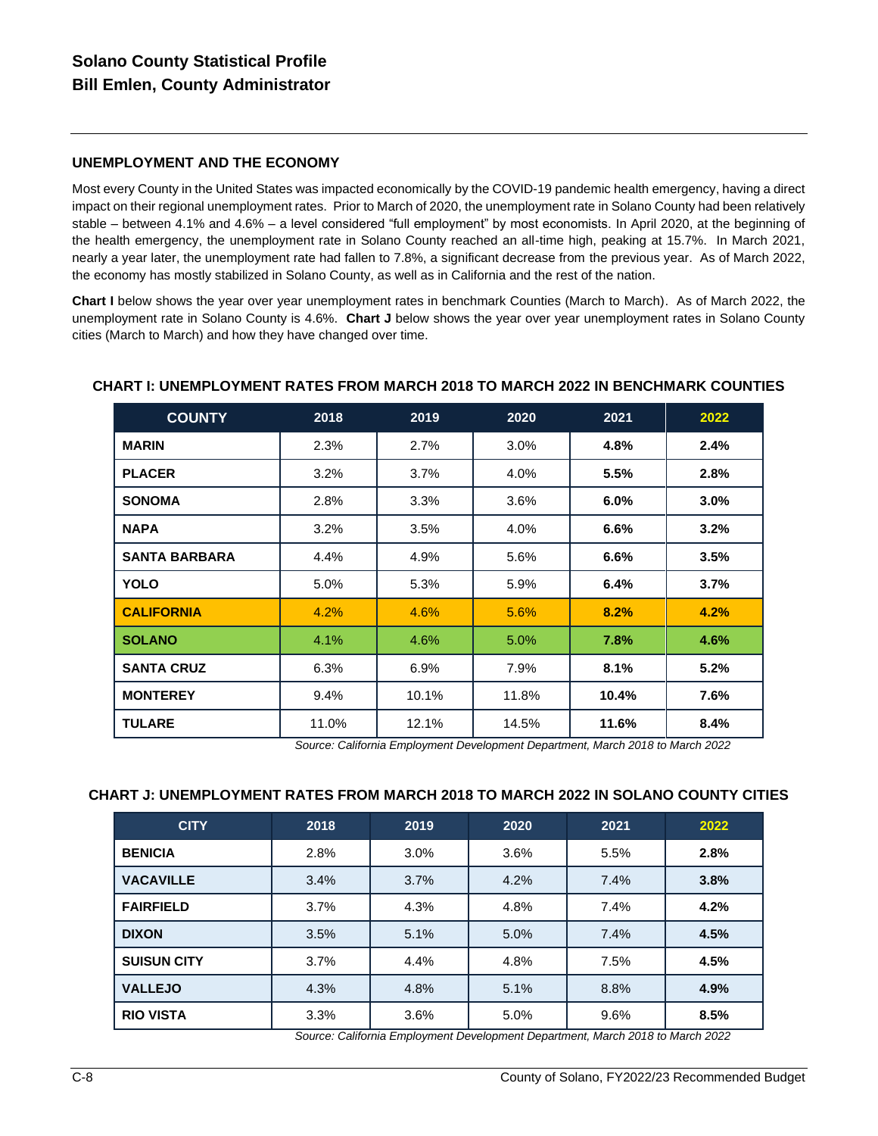# **UNEMPLOYMENT AND THE ECONOMY**

Most every County in the United States was impacted economically by the COVID-19 pandemic health emergency, having a direct impact on their regional unemployment rates. Prior to March of 2020, the unemployment rate in Solano County had been relatively stable – between 4.1% and 4.6% – a level considered "full employment" by most economists. In April 2020, at the beginning of the health emergency, the unemployment rate in Solano County reached an all-time high, peaking at 15.7%. In March 2021, nearly a year later, the unemployment rate had fallen to 7.8%, a significant decrease from the previous year. As of March 2022, the economy has mostly stabilized in Solano County, as well as in California and the rest of the nation.

**Chart I** below shows the year over year unemployment rates in benchmark Counties (March to March). As of March 2022, the unemployment rate in Solano County is 4.6%. **Chart J** below shows the year over year unemployment rates in Solano County cities (March to March) and how they have changed over time.

| <b>COUNTY</b>        | 2018    | 2019  | 2020  | 2021  | 2022    |
|----------------------|---------|-------|-------|-------|---------|
| <b>MARIN</b>         | 2.3%    | 2.7%  | 3.0%  | 4.8%  | $2.4\%$ |
| <b>PLACER</b>        | 3.2%    | 3.7%  | 4.0%  | 5.5%  | 2.8%    |
| <b>SONOMA</b>        | 2.8%    | 3.3%  | 3.6%  | 6.0%  | $3.0\%$ |
| <b>NAPA</b>          | 3.2%    | 3.5%  | 4.0%  | 6.6%  | 3.2%    |
| <b>SANTA BARBARA</b> | 4.4%    | 4.9%  | 5.6%  | 6.6%  | 3.5%    |
| YOLO                 | $5.0\%$ | 5.3%  | 5.9%  | 6.4%  | 3.7%    |
| <b>CALIFORNIA</b>    | 4.2%    | 4.6%  | 5.6%  | 8.2%  | 4.2%    |
| <b>SOLANO</b>        | 4.1%    | 4.6%  | 5.0%  | 7.8%  | 4.6%    |
| <b>SANTA CRUZ</b>    | 6.3%    | 6.9%  | 7.9%  | 8.1%  | 5.2%    |
| <b>MONTEREY</b>      | 9.4%    | 10.1% | 11.8% | 10.4% | 7.6%    |
| <b>TULARE</b>        | 11.0%   | 12.1% | 14.5% | 11.6% | 8.4%    |

### **CHART I: UNEMPLOYMENT RATES FROM MARCH 2018 TO MARCH 2022 IN BENCHMARK COUNTIES**

*Source: California Employment Development Department, March 2018 to March 2022*

#### **CHART J: UNEMPLOYMENT RATES FROM MARCH 2018 TO MARCH 2022 IN SOLANO COUNTY CITIES**

| <b>CITY</b>        | 2018 | 2019 | 2020 | 2021 | 2022 |
|--------------------|------|------|------|------|------|
| <b>BENICIA</b>     | 2.8% | 3.0% | 3.6% | 5.5% | 2.8% |
| <b>VACAVILLE</b>   | 3.4% | 3.7% | 4.2% | 7.4% | 3.8% |
| <b>FAIRFIELD</b>   | 3.7% | 4.3% | 4.8% | 7.4% | 4.2% |
| <b>DIXON</b>       | 3.5% | 5.1% | 5.0% | 7.4% | 4.5% |
| <b>SUISUN CITY</b> | 3.7% | 4.4% | 4.8% | 7.5% | 4.5% |
| <b>VALLEJO</b>     | 4.3% | 4.8% | 5.1% | 8.8% | 4.9% |
| <b>RIO VISTA</b>   | 3.3% | 3.6% | 5.0% | 9.6% | 8.5% |

*Source: California Employment Development Department, March 2018 to March 2022*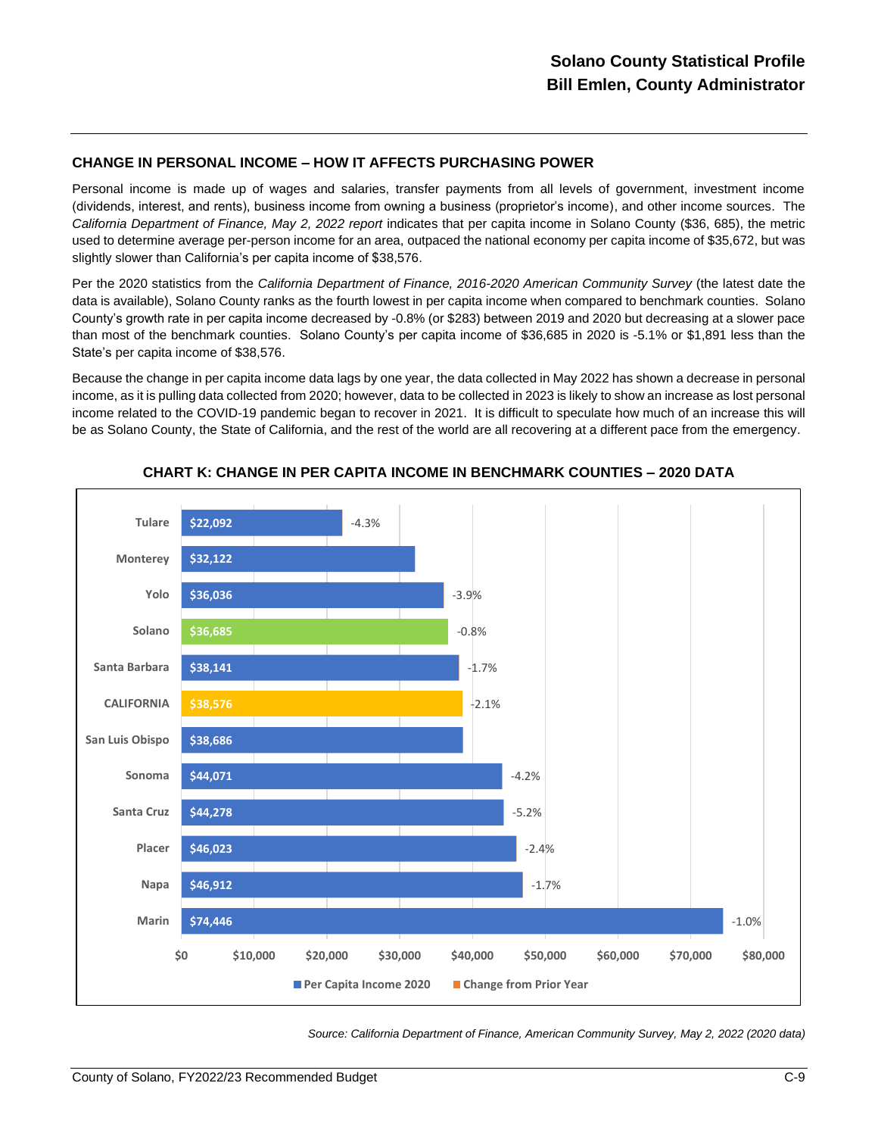### **CHANGE IN PERSONAL INCOME – HOW IT AFFECTS PURCHASING POWER**

Personal income is made up of wages and salaries, transfer payments from all levels of government, investment income (dividends, interest, and rents), business income from owning a business (proprietor's income), and other income sources. The California Department of Finance, May 2, 2022 *report* indicates that per capita income in Solano County (\$36, 685), the metric used to determine average per-person income for an area, outpaced the national economy per capita income of \$35,672, but was slightly slower than California's per capita income of \$38,576.

Per the 2020 statistics from the *California Department of Finance, 2016-2020 American Community Survey* (the latest date the data is available), Solano County ranks as the fourth lowest in per capita income when compared to benchmark counties. Solano County's growth rate in per capita income decreased by -0.8% (or \$283) between 2019 and 2020 but decreasing at a slower pace than most of the benchmark counties. Solano County's per capita income of \$36,685 in 2020 is -5.1% or \$1,891 less than the State's per capita income of \$38,576.

Because the change in per capita income data lags by one year, the data collected in May 2022 has shown a decrease in personal income, as it is pulling data collected from 2020; however, data to be collected in 2023 is likely to show an increase as lost personal income related to the COVID-19 pandemic began to recover in 2021. It is difficult to speculate how much of an increase this will be as Solano County, the State of California, and the rest of the world are all recovering at a different pace from the emergency.



**CHART K: CHANGE IN PER CAPITA INCOME IN BENCHMARK COUNTIES – 2020 DATA**

*Source: California Department of Finance, American Community Survey, May 2, 2022 (2020 data)*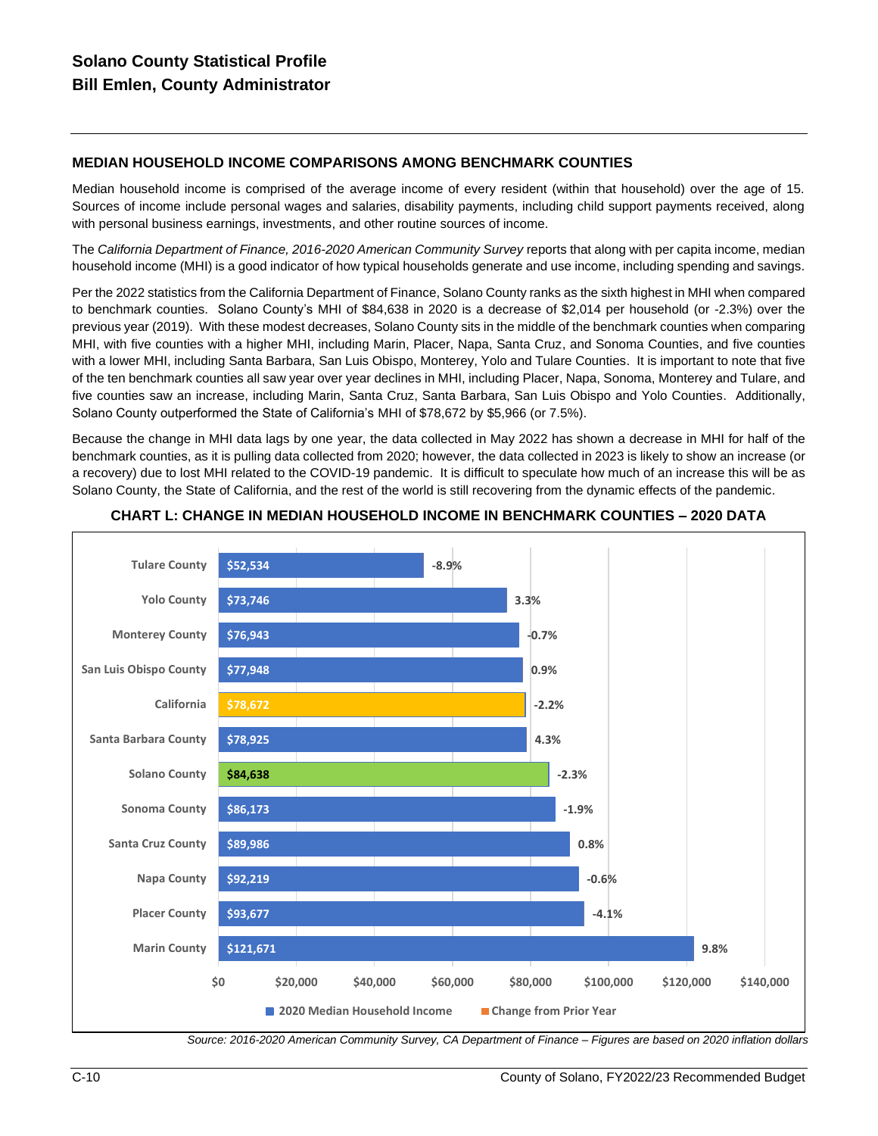# **MEDIAN HOUSEHOLD INCOME COMPARISONS AMONG BENCHMARK COUNTIES**

Median household income is comprised of the average income of every resident (within that household) over the age of 15. Sources of income include personal wages and salaries, disability payments, including child support payments received, along with personal business earnings, investments, and other routine sources of income.

The *California Department of Finance, 2016-2020 American Community Survey* reports that along with per capita income, median household income (MHI) is a good indicator of how typical households generate and use income, including spending and savings.

Per the 2022 statistics from the California Department of Finance, Solano County ranks as the sixth highest in MHI when compared to benchmark counties. Solano County's MHI of \$84,638 in 2020 is a decrease of \$2,014 per household (or -2.3%) over the previous year (2019). With these modest decreases, Solano County sits in the middle of the benchmark counties when comparing MHI, with five counties with a higher MHI, including Marin, Placer, Napa, Santa Cruz, and Sonoma Counties, and five counties with a lower MHI, including Santa Barbara, San Luis Obispo, Monterey, Yolo and Tulare Counties. It is important to note that five of the ten benchmark counties all saw year over year declines in MHI, including Placer, Napa, Sonoma, Monterey and Tulare, and five counties saw an increase, including Marin, Santa Cruz, Santa Barbara, San Luis Obispo and Yolo Counties. Additionally, Solano County outperformed the State of California's MHI of \$78,672 by \$5,966 (or 7.5%).

Because the change in MHI data lags by one year, the data collected in May 2022 has shown a decrease in MHI for half of the benchmark counties, as it is pulling data collected from 2020; however, the data collected in 2023 is likely to show an increase (or a recovery) due to lost MHI related to the COVID-19 pandemic. It is difficult to speculate how much of an increase this will be as Solano County, the State of California, and the rest of the world is still recovering from the dynamic effects of the pandemic.



**CHART L: CHANGE IN MEDIAN HOUSEHOLD INCOME IN BENCHMARK COUNTIES – 2020 DATA**

*Source: 2016-2020 American Community Survey, CA Department of Finance – Figures are based on 2020 inflation dollars*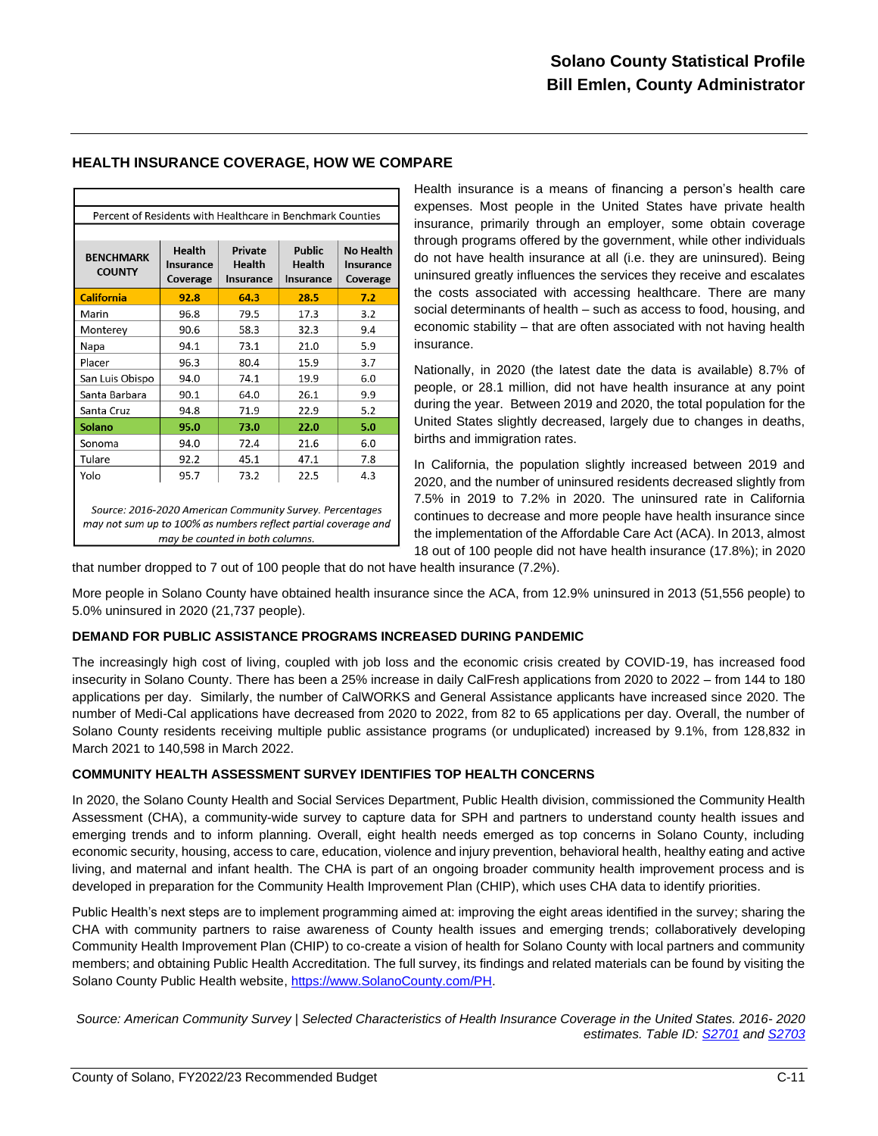#### **HEALTH INSURANCE COVERAGE, HOW WE COMPARE**

| Percent of Residents with Healthcare in Benchmark Counties                                                                                                    |                                 |                                              |                               |                                           |  |  |  |
|---------------------------------------------------------------------------------------------------------------------------------------------------------------|---------------------------------|----------------------------------------------|-------------------------------|-------------------------------------------|--|--|--|
|                                                                                                                                                               |                                 |                                              |                               |                                           |  |  |  |
| <b>BENCHMARK</b><br><b>COUNTY</b>                                                                                                                             | Health<br>Insurance<br>Coverage | <b>Private</b><br>Health<br><b>Insurance</b> | Public<br>Health<br>Insurance | <b>No Health</b><br>Insurance<br>Coverage |  |  |  |
| <b>California</b>                                                                                                                                             | 92.8                            | 64.3                                         | 28.5                          | 7.2                                       |  |  |  |
| Marin                                                                                                                                                         | 96.8                            | 79.5                                         | 17.3                          | 3.2                                       |  |  |  |
| Monterey                                                                                                                                                      | 90.6                            | 58.3                                         | 32.3                          | 9.4                                       |  |  |  |
| Napa                                                                                                                                                          | 94.1                            | 73.1                                         | 21.0                          | 5.9                                       |  |  |  |
| Placer                                                                                                                                                        | 96.3                            | 80.4                                         | 15.9                          | 3.7                                       |  |  |  |
| San Luis Obispo                                                                                                                                               | 94.0                            | 74.1                                         | 19.9                          | 6.0                                       |  |  |  |
| Santa Barbara                                                                                                                                                 | 90.1                            | 64.0                                         | 26.1                          | 9.9                                       |  |  |  |
| Santa Cruz                                                                                                                                                    | 94.8                            | 71.9                                         | 22.9                          | 5.2                                       |  |  |  |
| <b>Solano</b>                                                                                                                                                 | 95.0                            | 73.0                                         | 22.0                          | 5.0                                       |  |  |  |
| Sonoma                                                                                                                                                        | 94.0                            | 72.4                                         | 21.6                          | 6.0                                       |  |  |  |
| Tulare                                                                                                                                                        | 92.2                            | 45.1                                         | 47.1                          | 7.8                                       |  |  |  |
| Yolo                                                                                                                                                          | 95.7                            | 73.2                                         | 22.5                          | 4.3                                       |  |  |  |
| Source: 2016-2020 American Community Survey. Percentages<br>may not sum up to 100% as numbers reflect partial coverage and<br>may be counted in both columns. |                                 |                                              |                               |                                           |  |  |  |

Health insurance is a means of financing a person's health care expenses. Most people in the United States have private health insurance, primarily through an employer, some obtain coverage through programs offered by the government, while other individuals do not have health insurance at all (i.e. they are uninsured). Being uninsured greatly influences the services they receive and escalates the costs associated with accessing healthcare. There are many social determinants of health – such as access to food, housing, and economic stability – that are often associated with not having health insurance.

Nationally, in 2020 (the latest date the data is available) 8.7% of people, or 28.1 million, did not have health insurance at any point during the year. Between 2019 and 2020, the total population for the United States slightly decreased, largely due to changes in deaths, births and immigration rates.

In California, the population slightly increased between 2019 and 2020, and the number of uninsured residents decreased slightly from 7.5% in 2019 to 7.2% in 2020. The uninsured rate in California continues to decrease and more people have health insurance since the implementation of the Affordable Care Act (ACA). In 2013, almost 18 out of 100 people did not have health insurance (17.8%); in 2020

that number dropped to 7 out of 100 people that do not have health insurance (7.2%).

More people in Solano County have obtained health insurance since the ACA, from 12.9% uninsured in 2013 (51,556 people) to 5.0% uninsured in 2020 (21,737 people).

#### **DEMAND FOR PUBLIC ASSISTANCE PROGRAMS INCREASED DURING PANDEMIC**

The increasingly high cost of living, coupled with job loss and the economic crisis created by COVID-19, has increased food insecurity in Solano County. There has been a 25% increase in daily CalFresh applications from 2020 to 2022 – from 144 to 180 applications per day. Similarly, the number of CalWORKS and General Assistance applicants have increased since 2020. The number of Medi-Cal applications have decreased from 2020 to 2022, from 82 to 65 applications per day. Overall, the number of Solano County residents receiving multiple public assistance programs (or unduplicated) increased by 9.1%, from 128,832 in March 2021 to 140,598 in March 2022.

#### **COMMUNITY HEALTH ASSESSMENT SURVEY IDENTIFIES TOP HEALTH CONCERNS**

In 2020, the Solano County Health and Social Services Department, Public Health division, commissioned the Community Health Assessment (CHA), a community-wide survey to capture data for SPH and partners to understand county health issues and emerging trends and to inform planning. Overall, eight health needs emerged as top concerns in Solano County, including economic security, housing, access to care, education, violence and injury prevention, behavioral health, healthy eating and active living, and maternal and infant health. The CHA is part of an ongoing broader community health improvement process and is developed in preparation for the Community Health Improvement Plan (CHIP), which uses CHA data to identify priorities.

Public Health's next steps are to implement programming aimed at: improving the eight areas identified in the survey; sharing the CHA with community partners to raise awareness of County health issues and emerging trends; collaboratively developing Community Health Improvement Plan (CHIP) to co-create a vision of health for Solano County with local partners and community members; and obtaining Public Health Accreditation. The full survey, its findings and related materials can be found by visiting the Solano County Public Health website, [https://www.SolanoCounty.com/PH.](https://www.solanocounty.com/PH)

*Source: American Community Survey | Selected Characteristics of Health Insurance Coverage in the United States. 2016- 2020 estimates. Table ID[: S2701](https://data.census.gov/cedsci/table?q=S2701) an[d S2703](https://data.census.gov/cedsci/table?q=s2703)*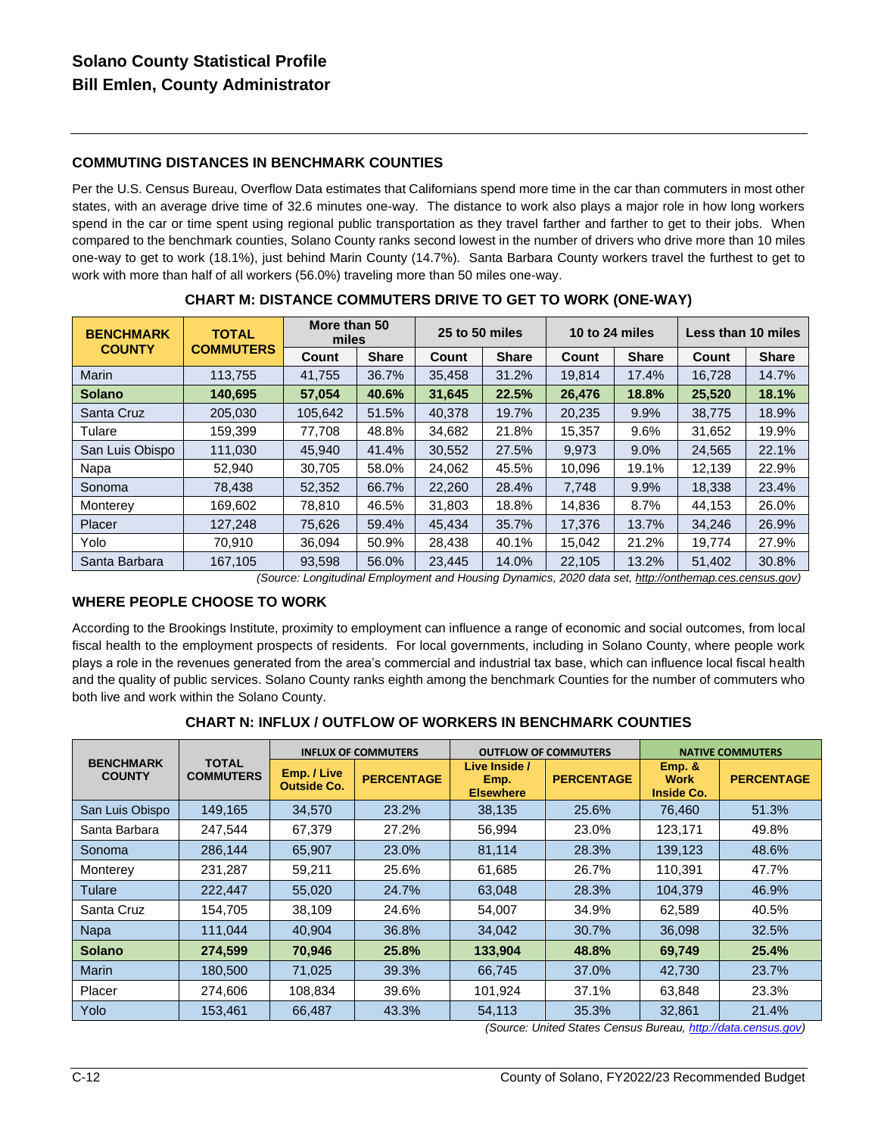# **COMMUTING DISTANCES IN BENCHMARK COUNTIES**

Per the U.S. Census Bureau, Overflow Data estimates that Californians spend more time in the car than commuters in most other states, with an average drive time of 32.6 minutes one-way. The distance to work also plays a major role in how long workers spend in the car or time spent using regional public transportation as they travel farther and farther to get to their jobs. When compared to the benchmark counties, Solano County ranks second lowest in the number of drivers who drive more than 10 miles one-way to get to work (18.1%), just behind Marin County (14.7%). Santa Barbara County workers travel the furthest to get to work with more than half of all workers (56.0%) traveling more than 50 miles one-way.

| <b>BENCHMARK</b> | <b>TOTAL</b>     |         | More than 50<br>miles |        | 25 to 50 miles |        | 10 to 24 miles |        | Less than 10 miles |  |
|------------------|------------------|---------|-----------------------|--------|----------------|--------|----------------|--------|--------------------|--|
| <b>COUNTY</b>    | <b>COMMUTERS</b> | Count   | <b>Share</b>          | Count  | <b>Share</b>   | Count  | <b>Share</b>   | Count  | <b>Share</b>       |  |
| Marin            | 113.755          | 41.755  | 36.7%                 | 35.458 | 31.2%          | 19.814 | 17.4%          | 16.728 | 14.7%              |  |
| <b>Solano</b>    | 140,695          | 57.054  | 40.6%                 | 31,645 | 22.5%          | 26.476 | 18.8%          | 25,520 | 18.1%              |  |
| Santa Cruz       | 205.030          | 105.642 | 51.5%                 | 40.378 | 19.7%          | 20.235 | 9.9%           | 38.775 | 18.9%              |  |
| Tulare           | 159.399          | 77.708  | 48.8%                 | 34.682 | 21.8%          | 15.357 | 9.6%           | 31,652 | 19.9%              |  |
| San Luis Obispo  | 111,030          | 45.940  | 41.4%                 | 30,552 | 27.5%          | 9.973  | 9.0%           | 24,565 | 22.1%              |  |
| Napa             | 52,940           | 30.705  | 58.0%                 | 24,062 | 45.5%          | 10.096 | 19.1%          | 12,139 | 22.9%              |  |
| Sonoma           | 78,438           | 52,352  | 66.7%                 | 22,260 | 28.4%          | 7.748  | 9.9%           | 18.338 | 23.4%              |  |
| Monterey         | 169,602          | 78,810  | 46.5%                 | 31,803 | 18.8%          | 14,836 | 8.7%           | 44,153 | 26.0%              |  |
| Placer           | 127,248          | 75,626  | 59.4%                 | 45.434 | 35.7%          | 17,376 | 13.7%          | 34,246 | 26.9%              |  |
| Yolo             | 70.910           | 36.094  | 50.9%                 | 28,438 | 40.1%          | 15,042 | 21.2%          | 19.774 | 27.9%              |  |
| Santa Barbara    | 167.105          | 93.598  | 56.0%                 | 23.445 | 14.0%          | 22.105 | 13.2%          | 51.402 | 30.8%              |  |

**CHART M: DISTANCE COMMUTERS DRIVE TO GET TO WORK (ONE-WAY)**

*(Source: Longitudinal Employment and Housing Dynamics, 2020 data set[, http://onthemap.ces.census.gov\)](http://onthemap.ces.census.gov/)*

#### **WHERE PEOPLE CHOOSE TO WORK**

According to the Brookings Institute, proximity to employment can influence a range of economic and social outcomes, from local fiscal health to the employment prospects of residents. For local governments, including in Solano County, where people work plays a role in the revenues generated from the area's commercial and industrial tax base, which can influence local fiscal health and the quality of public services. Solano County ranks eighth among the benchmark Counties for the number of commuters who both live and work within the Solano County.

|                                   |                                  |                                   | <b>INFLUX OF COMMUTERS</b> |                                           | <b>OUTFLOW OF COMMUTERS</b> | <b>NATIVE COMMUTERS</b>                    |                   |
|-----------------------------------|----------------------------------|-----------------------------------|----------------------------|-------------------------------------------|-----------------------------|--------------------------------------------|-------------------|
| <b>BENCHMARK</b><br><b>COUNTY</b> | <b>TOTAL</b><br><b>COMMUTERS</b> | Emp. / Live<br><b>Outside Co.</b> | <b>PERCENTAGE</b>          | Live Inside /<br>Emp.<br><b>Elsewhere</b> | <b>PERCENTAGE</b>           | Emp. &<br><b>Work</b><br><b>Inside Co.</b> | <b>PERCENTAGE</b> |
| San Luis Obispo                   | 149,165                          | 34,570                            | 23.2%                      | 38,135                                    | 25.6%                       | 76,460                                     | 51.3%             |
| Santa Barbara                     | 247,544                          | 67,379                            | 27.2%                      | 56,994                                    | 23.0%                       | 123,171                                    | 49.8%             |
| Sonoma                            | 286,144                          | 65,907                            | 23.0%                      | 81,114                                    | 28.3%                       | 139,123                                    | 48.6%             |
| Monterey                          | 231.287                          | 59.211                            | 25.6%                      | 61.685                                    | 26.7%                       | 110,391                                    | 47.7%             |
| Tulare                            | 222,447                          | 55,020                            | 24.7%                      | 63.048                                    | 28.3%                       | 104.379                                    | 46.9%             |
| Santa Cruz                        | 154.705                          | 38.109                            | 24.6%                      | 54.007                                    | 34.9%                       | 62.589                                     | 40.5%             |
| <b>Napa</b>                       | 111,044                          | 40,904                            | 36.8%                      | 34,042                                    | 30.7%                       | 36,098                                     | 32.5%             |
| <b>Solano</b>                     | 274,599                          | 70.946                            | 25.8%                      | 133,904                                   | 48.8%                       | 69,749                                     | 25.4%             |
| <b>Marin</b>                      | 180,500                          | 71.025                            | 39.3%                      | 66,745                                    | 37.0%                       | 42,730                                     | 23.7%             |
| Placer                            | 274,606                          | 108,834                           | 39.6%                      | 101,924                                   | 37.1%                       | 63,848                                     | 23.3%             |
| Yolo                              | 153.461                          | 66.487                            | 43.3%                      | 54.113                                    | 35.3%                       | 32.861                                     | 21.4%             |

#### **CHART N: INFLUX / OUTFLOW OF WORKERS IN BENCHMARK COUNTIES**

*(Source: United States Census Bureau[, http://data.census.gov\)](http://data.census.gov/)*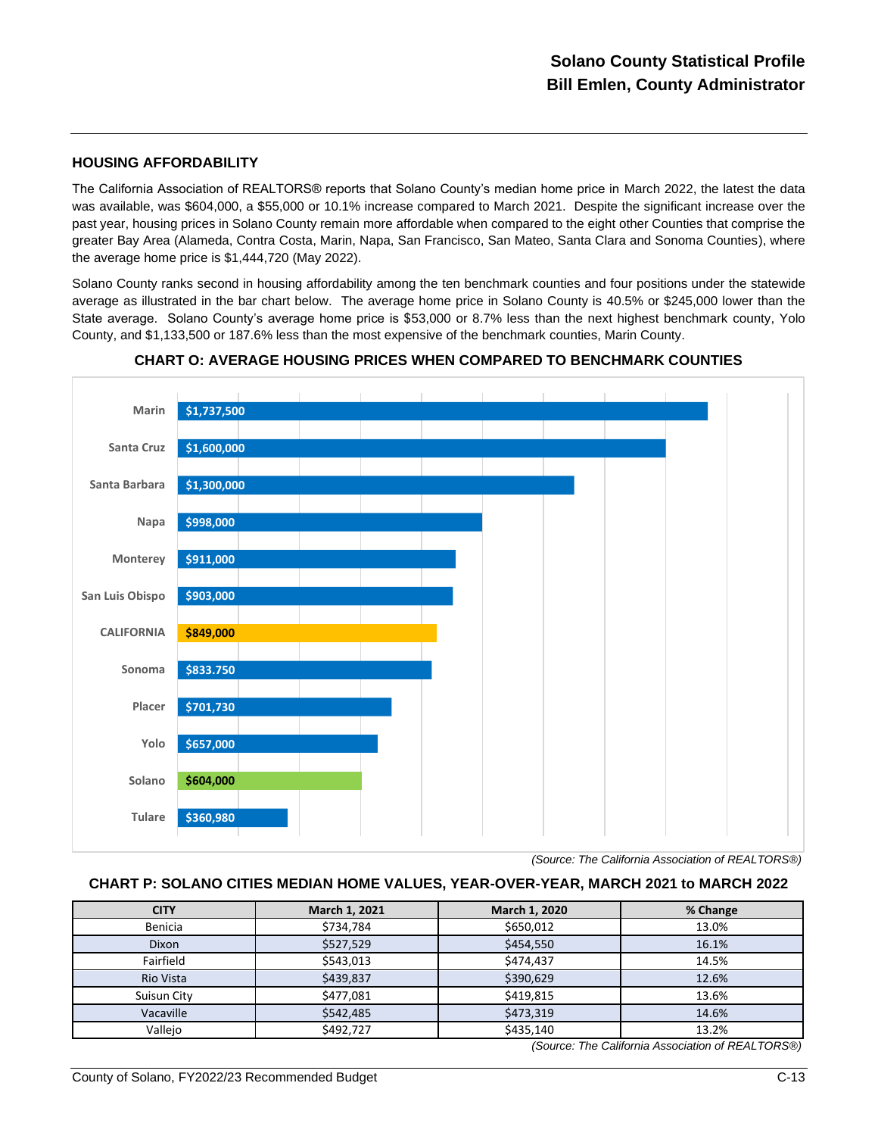#### **HOUSING AFFORDABILITY**

The California Association of REALTORS® reports that Solano County's median home price in March 2022, the latest the data was available, was \$604,000, a \$55,000 or 10.1% increase compared to March 2021. Despite the significant increase over the past year, housing prices in Solano County remain more affordable when compared to the eight other Counties that comprise the greater Bay Area (Alameda, Contra Costa, Marin, Napa, San Francisco, San Mateo, Santa Clara and Sonoma Counties), where the average home price is \$1,444,720 (May 2022).

Solano County ranks second in housing affordability among the ten benchmark counties and four positions under the statewide average as illustrated in the bar chart below. The average home price in Solano County is 40.5% or \$245,000 lower than the State average. Solano County's average home price is \$53,000 or 8.7% less than the next highest benchmark county, Yolo County, and \$1,133,500 or 187.6% less than the most expensive of the benchmark counties, Marin County.



**CHART O: AVERAGE HOUSING PRICES WHEN COMPARED TO BENCHMARK COUNTIES**

#### **CHART P: SOLANO CITIES MEDIAN HOME VALUES, YEAR-OVER-YEAR, MARCH 2021 to MARCH 2022**

| <b>CITY</b> | March 1, 2021 | March 1, 2020 | % Change                                           |
|-------------|---------------|---------------|----------------------------------------------------|
| Benicia     | \$734,784     | \$650,012     | 13.0%                                              |
| Dixon       | \$527,529     | \$454,550     | 16.1%                                              |
| Fairfield   | \$543,013     | \$474,437     | 14.5%                                              |
| Rio Vista   | \$439,837     | \$390,629     | 12.6%                                              |
| Suisun City | \$477,081     | \$419,815     | 13.6%                                              |
| Vacaville   | \$542,485     | \$473,319     | 14.6%                                              |
| Vallejo     | \$492,727     | \$435,140     | 13.2%                                              |
|             |               |               | (Source: The California Association of RFAI TORS®) |

*(Source: The California Association of REALTORS*®*)*

*<sup>(</sup>Source: The California Association of REALTORS*®*)*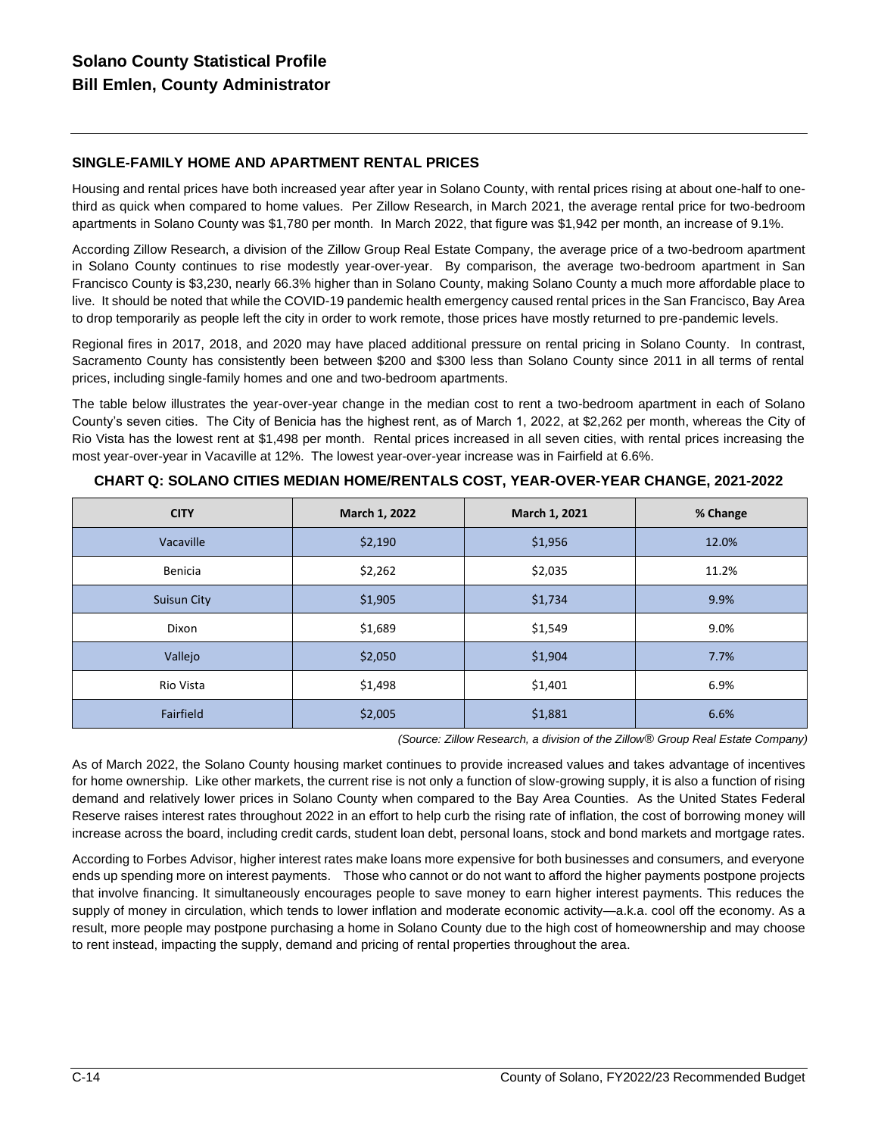# **SINGLE-FAMILY HOME AND APARTMENT RENTAL PRICES**

Housing and rental prices have both increased year after year in Solano County, with rental prices rising at about one-half to onethird as quick when compared to home values. Per Zillow Research, in March 2021, the average rental price for two-bedroom apartments in Solano County was \$1,780 per month. In March 2022, that figure was \$1,942 per month, an increase of 9.1%.

According Zillow Research, a division of the Zillow Group Real Estate Company, the average price of a two-bedroom apartment in Solano County continues to rise modestly year-over-year. By comparison, the average two-bedroom apartment in San Francisco County is \$3,230, nearly 66.3% higher than in Solano County, making Solano County a much more affordable place to live. It should be noted that while the COVID-19 pandemic health emergency caused rental prices in the San Francisco, Bay Area to drop temporarily as people left the city in order to work remote, those prices have mostly returned to pre-pandemic levels.

Regional fires in 2017, 2018, and 2020 may have placed additional pressure on rental pricing in Solano County. In contrast, Sacramento County has consistently been between \$200 and \$300 less than Solano County since 2011 in all terms of rental prices, including single-family homes and one and two-bedroom apartments.

The table below illustrates the year-over-year change in the median cost to rent a two-bedroom apartment in each of Solano County's seven cities. The City of Benicia has the highest rent, as of March 1, 2022, at \$2,262 per month, whereas the City of Rio Vista has the lowest rent at \$1,498 per month. Rental prices increased in all seven cities, with rental prices increasing the most year-over-year in Vacaville at 12%. The lowest year-over-year increase was in Fairfield at 6.6%.

| <b>CITY</b>        | March 1, 2022 | March 1, 2021 | % Change |  |
|--------------------|---------------|---------------|----------|--|
| Vacaville          | \$2,190       | \$1,956       | 12.0%    |  |
| Benicia            | \$2,262       | \$2,035       | 11.2%    |  |
| <b>Suisun City</b> | \$1,905       | \$1,734       | 9.9%     |  |
| Dixon              | \$1,689       | \$1,549       | 9.0%     |  |
| Vallejo            | \$2,050       | \$1,904       | 7.7%     |  |
| Rio Vista          | \$1,498       | \$1,401       | 6.9%     |  |
| Fairfield          | \$2,005       | \$1,881       | 6.6%     |  |

**CHART Q: SOLANO CITIES MEDIAN HOME/RENTALS COST, YEAR-OVER-YEAR CHANGE, 2021-2022**

*(Source: Zillow Research, a division of the Zillow*® *Group Real Estate Company)*

As of March 2022, the Solano County housing market continues to provide increased values and takes advantage of incentives for home ownership. Like other markets, the current rise is not only a function of slow-growing supply, it is also a function of rising demand and relatively lower prices in Solano County when compared to the Bay Area Counties. As the United States Federal Reserve raises interest rates throughout 2022 in an effort to help curb the rising rate of inflation, the cost of borrowing money will increase across the board, including credit cards, student loan debt, personal loans, stock and bond markets and mortgage rates.

According to Forbes Advisor, higher interest rates make loans more expensive for both businesses and consumers, and everyone ends up spending more on interest payments. Those who cannot or do not want to afford the higher payments postpone projects that involve financing. It simultaneously encourages people to save money to earn higher interest payments. This reduces the supply of money in circulation, which tends to lower inflation and moderate economic activity—a.k.a. cool off the economy. As a result, more people may postpone purchasing a home in Solano County due to the high cost of homeownership and may choose to rent instead, impacting the supply, demand and pricing of rental properties throughout the area.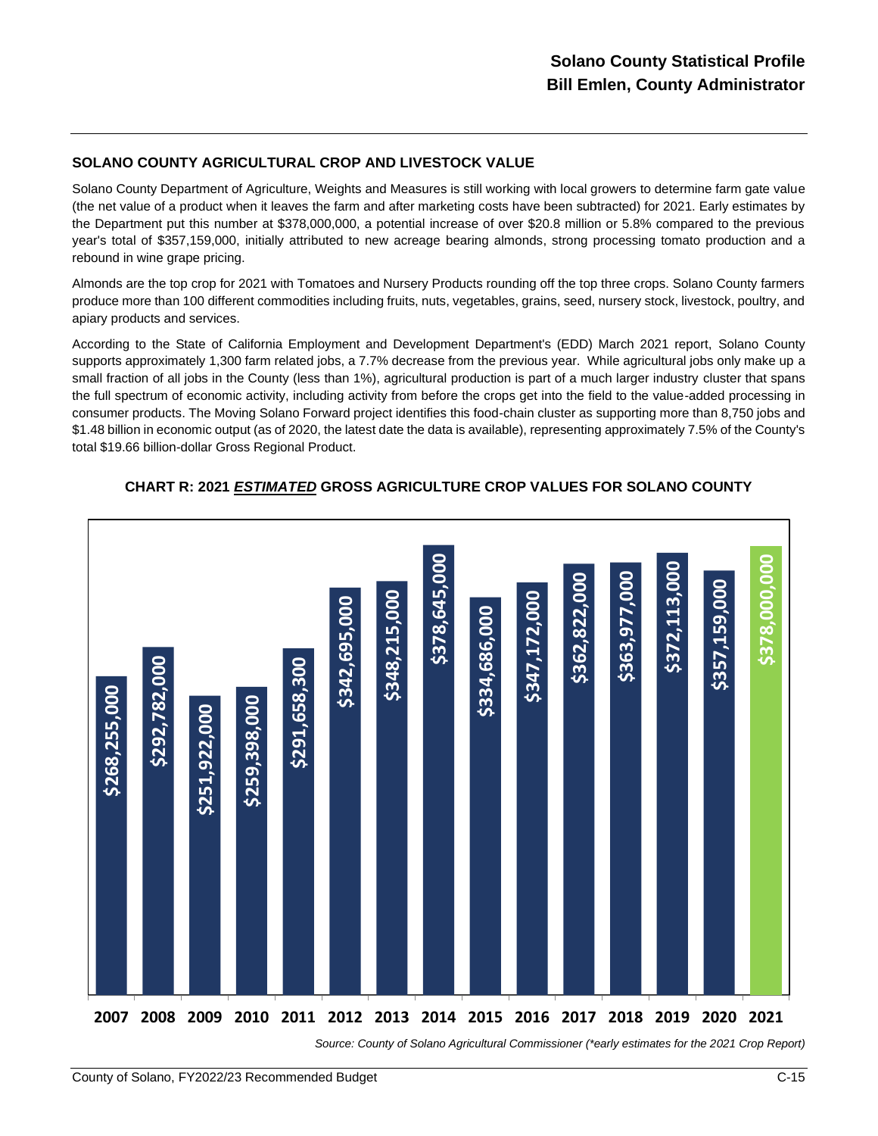# **SOLANO COUNTY AGRICULTURAL CROP AND LIVESTOCK VALUE**

Solano County Department of Agriculture, Weights and Measures is still working with local growers to determine farm gate value (the net value of a product when it leaves the farm and after marketing costs have been subtracted) for 2021. Early estimates by the Department put this number at \$378,000,000, a potential increase of over \$20.8 million or 5.8% compared to the previous year's total of \$357,159,000, initially attributed to new acreage bearing almonds, strong processing tomato production and a rebound in wine grape pricing.

Almonds are the top crop for 2021 with Tomatoes and Nursery Products rounding off the top three crops. Solano County farmers produce more than 100 different commodities including fruits, nuts, vegetables, grains, seed, nursery stock, livestock, poultry, and apiary products and services.

According to the State of California Employment and Development Department's (EDD) March 2021 report, Solano County supports approximately 1,300 farm related jobs, a 7.7% decrease from the previous year. While agricultural jobs only make up a small fraction of all jobs in the County (less than 1%), agricultural production is part of a much larger industry cluster that spans the full spectrum of economic activity, including activity from before the crops get into the field to the value-added processing in consumer products. The Moving Solano Forward project identifies this food-chain cluster as supporting more than 8,750 jobs and \$1.48 billion in economic output (as of 2020, the latest date the data is available), representing approximately 7.5% of the County's total \$19.66 billion-dollar Gross Regional Product.



# **CHART R: 2021** *ESTIMATED* **GROSS AGRICULTURE CROP VALUES FOR SOLANO COUNTY**

*Source: County of Solano Agricultural Commissioner (\*early estimates for the 2021 Crop Report)*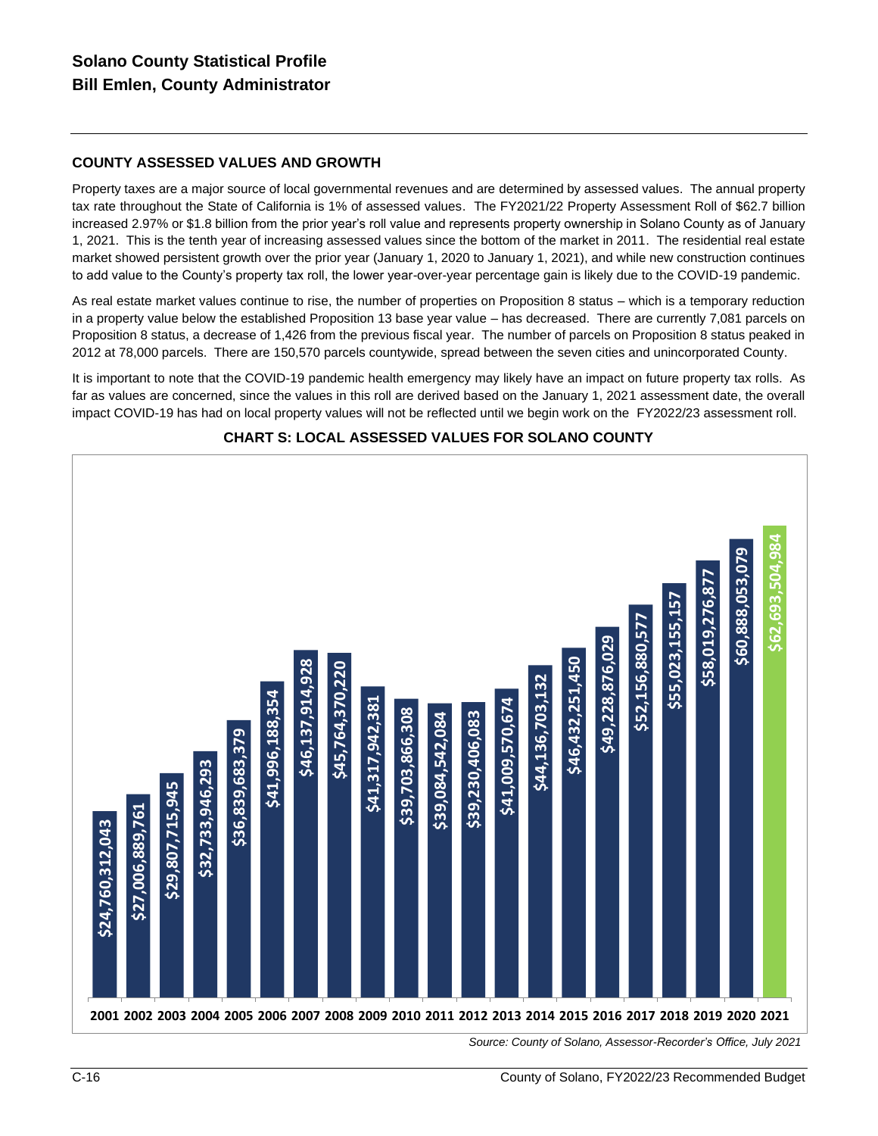# **COUNTY ASSESSED VALUES AND GROWTH**

Property taxes are a major source of local governmental revenues and are determined by assessed values. The annual property tax rate throughout the State of California is 1% of assessed values. The FY2021/22 Property Assessment Roll of \$62.7 billion increased 2.97% or \$1.8 billion from the prior year's roll value and represents property ownership in Solano County as of January 1, 2021. This is the tenth year of increasing assessed values since the bottom of the market in 2011. The residential real estate market showed persistent growth over the prior year (January 1, 2020 to January 1, 2021), and while new construction continues to add value to the County's property tax roll, the lower year-over-year percentage gain is likely due to the COVID-19 pandemic.

As real estate market values continue to rise, the number of properties on Proposition 8 status – which is a temporary reduction in a property value below the established Proposition 13 base year value – has decreased. There are currently 7,081 parcels on Proposition 8 status, a decrease of 1,426 from the previous fiscal year. The number of parcels on Proposition 8 status peaked in 2012 at 78,000 parcels. There are 150,570 parcels countywide, spread between the seven cities and unincorporated County.

It is important to note that the COVID-19 pandemic health emergency may likely have an impact on future property tax rolls. As far as values are concerned, since the values in this roll are derived based on the January 1, 2021 assessment date, the overall impact COVID-19 has had on local property values will not be reflected until we begin work on the FY2022/23 assessment roll.



### **CHART S: LOCAL ASSESSED VALUES FOR SOLANO COUNTY**

*Source: County of Solano, Assessor-Recorder's Office, July 2021*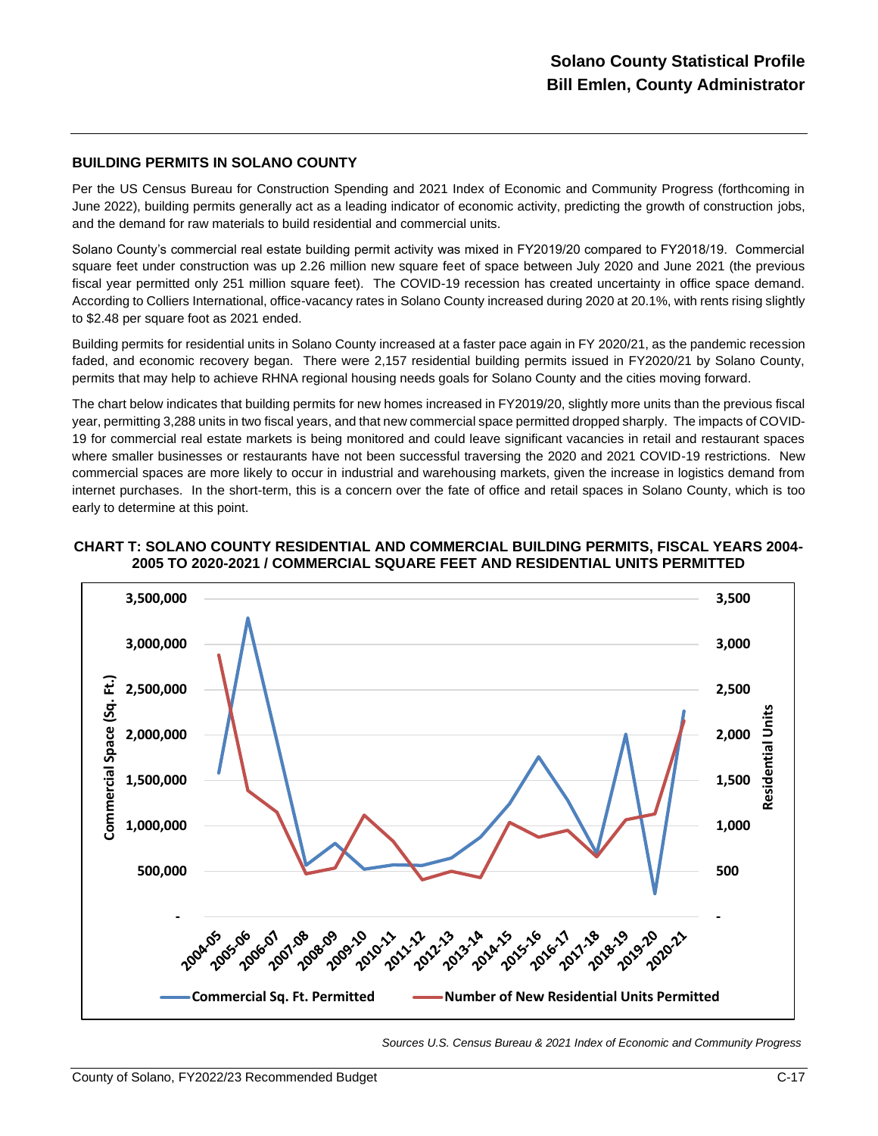#### **BUILDING PERMITS IN SOLANO COUNTY**

Per the US Census Bureau for Construction Spending and 2021 Index of Economic and Community Progress (forthcoming in June 2022), building permits generally act as a leading indicator of economic activity, predicting the growth of construction jobs, and the demand for raw materials to build residential and commercial units.

Solano County's commercial real estate building permit activity was mixed in FY2019/20 compared to FY2018/19. Commercial square feet under construction was up 2.26 million new square feet of space between July 2020 and June 2021 (the previous fiscal year permitted only 251 million square feet). The COVID-19 recession has created uncertainty in office space demand. According to Colliers International, office-vacancy rates in Solano County increased during 2020 at 20.1%, with rents rising slightly to \$2.48 per square foot as 2021 ended.

Building permits for residential units in Solano County increased at a faster pace again in FY 2020/21, as the pandemic recession faded, and economic recovery began. There were 2,157 residential building permits issued in FY2020/21 by Solano County, permits that may help to achieve RHNA regional housing needs goals for Solano County and the cities moving forward.

The chart below indicates that building permits for new homes increased in FY2019/20, slightly more units than the previous fiscal year, permitting 3,288 units in two fiscal years, and that new commercial space permitted dropped sharply. The impacts of COVID-19 for commercial real estate markets is being monitored and could leave significant vacancies in retail and restaurant spaces where smaller businesses or restaurants have not been successful traversing the 2020 and 2021 COVID-19 restrictions. New commercial spaces are more likely to occur in industrial and warehousing markets, given the increase in logistics demand from internet purchases. In the short-term, this is a concern over the fate of office and retail spaces in Solano County, which is too early to determine at this point.



#### **CHART T: SOLANO COUNTY RESIDENTIAL AND COMMERCIAL BUILDING PERMITS, FISCAL YEARS 2004- 2005 TO 2020-2021 / COMMERCIAL SQUARE FEET AND RESIDENTIAL UNITS PERMITTED**

*Sources U.S. Census Bureau & 2021 Index of Economic and Community Progress*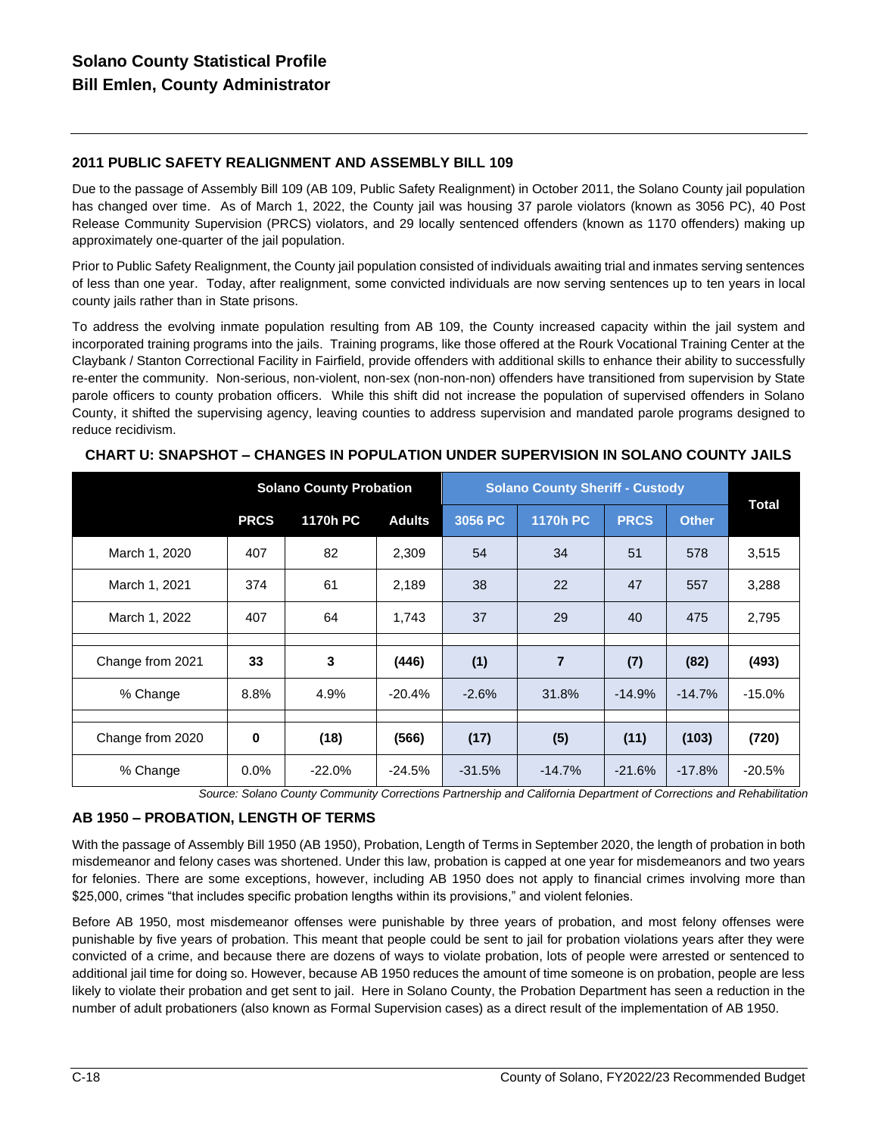# **2011 PUBLIC SAFETY REALIGNMENT AND ASSEMBLY BILL 109**

Due to the passage of Assembly Bill 109 (AB 109, Public Safety Realignment) in October 2011, the Solano County jail population has changed over time. As of March 1, 2022, the County jail was housing 37 parole violators (known as 3056 PC), 40 Post Release Community Supervision (PRCS) violators, and 29 locally sentenced offenders (known as 1170 offenders) making up approximately one-quarter of the jail population.

Prior to Public Safety Realignment, the County jail population consisted of individuals awaiting trial and inmates serving sentences of less than one year. Today, after realignment, some convicted individuals are now serving sentences up to ten years in local county jails rather than in State prisons.

To address the evolving inmate population resulting from AB 109, the County increased capacity within the jail system and incorporated training programs into the jails. Training programs, like those offered at the Rourk Vocational Training Center at the Claybank / Stanton Correctional Facility in Fairfield, provide offenders with additional skills to enhance their ability to successfully re-enter the community. Non-serious, non-violent, non-sex (non-non-non) offenders have transitioned from supervision by State parole officers to county probation officers. While this shift did not increase the population of supervised offenders in Solano County, it shifted the supervising agency, leaving counties to address supervision and mandated parole programs designed to reduce recidivism.

|                  | <b>Solano County Probation</b> |                 |               | <b>Solano County Sheriff - Custody</b> |                 |             |              |              |
|------------------|--------------------------------|-----------------|---------------|----------------------------------------|-----------------|-------------|--------------|--------------|
|                  | <b>PRCS</b>                    | <b>1170h PC</b> | <b>Adults</b> | 3056 PC                                | <b>1170h PC</b> | <b>PRCS</b> | <b>Other</b> | <b>Total</b> |
| March 1, 2020    | 407                            | 82              | 2,309         | 54                                     | 34              | 51          | 578          | 3,515        |
| March 1, 2021    | 374                            | 61              | 2,189         | 38                                     | 22              | 47          | 557          | 3,288        |
| March 1, 2022    | 407                            | 64              | 1,743         | 37                                     | 29              | 40          | 475          | 2,795        |
|                  |                                |                 |               |                                        |                 |             |              |              |
| Change from 2021 | 33                             | 3               | (446)         | (1)                                    | 7               | (7)         | (82)         | (493)        |
| % Change         | 8.8%                           | 4.9%            | $-20.4%$      | $-2.6%$                                | 31.8%           | $-14.9%$    | $-14.7%$     | $-15.0%$     |
|                  |                                |                 |               |                                        |                 |             |              |              |
| Change from 2020 | $\bf{0}$                       | (18)            | (566)         | (17)                                   | (5)             | (11)        | (103)        | (720)        |
| % Change         | 0.0%                           | $-22.0%$        | $-24.5%$      | $-31.5%$                               | $-14.7%$        | $-21.6%$    | $-17.8%$     | $-20.5%$     |

### **CHART U: SNAPSHOT – CHANGES IN POPULATION UNDER SUPERVISION IN SOLANO COUNTY JAILS**

*Source: Solano County Community Corrections Partnership and California Department of Corrections and Rehabilitation*

# **AB 1950 – PROBATION, LENGTH OF TERMS**

With the passage of Assembly Bill 1950 (AB 1950), Probation, Length of Terms in September 2020, the length of probation in both misdemeanor and felony cases was shortened. Under this law, probation is capped at one year for misdemeanors and two years for felonies. There are some exceptions, however, including AB 1950 does not apply to financial crimes involving more than \$25,000, crimes "that includes specific probation lengths within its provisions," and violent felonies.

Before AB 1950, most misdemeanor offenses were punishable by three years of probation, and most felony offenses were punishable by five years of probation. This meant that people could be sent to jail for probation violations years after they were convicted of a crime, and because there are dozens of ways to violate probation, lots of people were arrested or sentenced to additional jail time for doing so. However, because AB 1950 reduces the amount of time someone is on probation, people are less likely to violate their probation and get sent to jail. Here in Solano County, the Probation Department has seen a reduction in the number of adult probationers (also known as Formal Supervision cases) as a direct result of the implementation of AB 1950.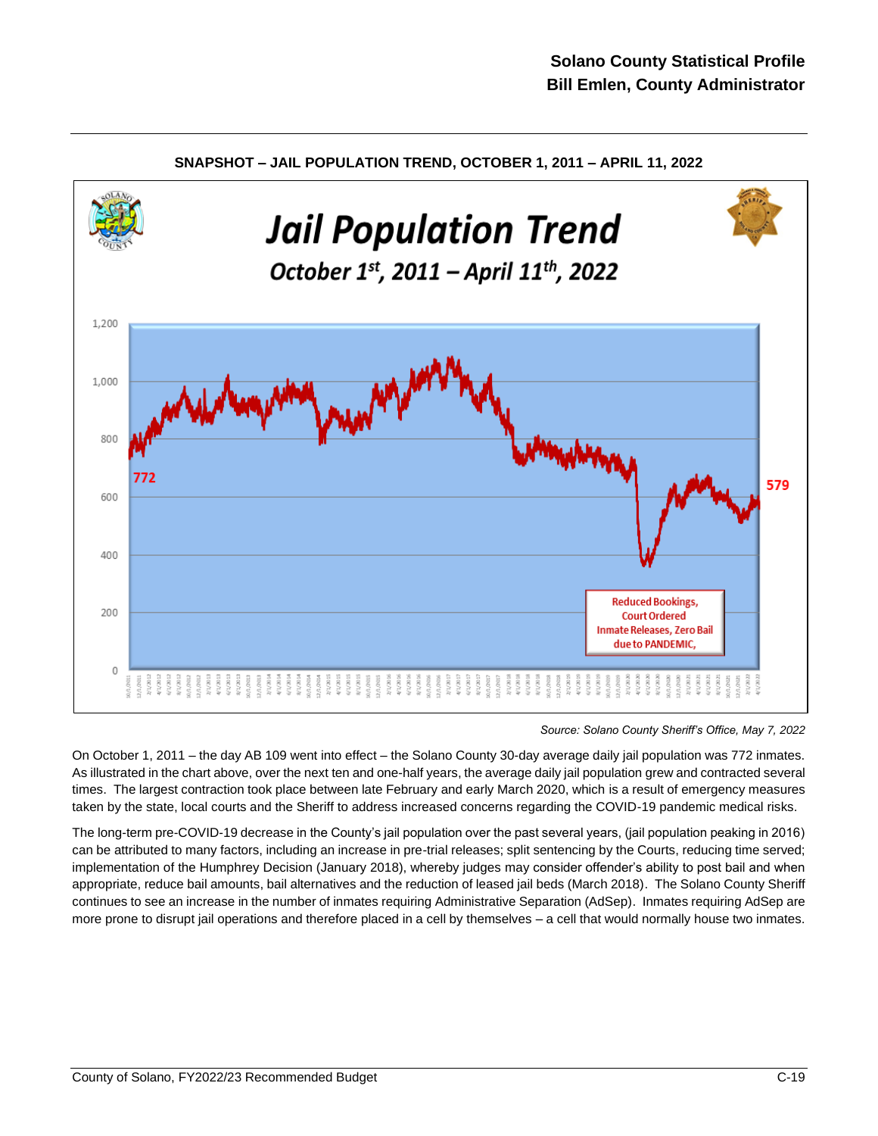

**SNAPSHOT – JAIL POPULATION TREND, OCTOBER 1, 2011 – APRIL 11, 2022**

*Source: Solano County Sheriff's Office, May 7, 2022*

On October 1, 2011 – the day AB 109 went into effect – the Solano County 30-day average daily jail population was 772 inmates. As illustrated in the chart above, over the next ten and one-half years, the average daily jail population grew and contracted several times. The largest contraction took place between late February and early March 2020, which is a result of emergency measures taken by the state, local courts and the Sheriff to address increased concerns regarding the COVID-19 pandemic medical risks.

The long-term pre-COVID-19 decrease in the County's jail population over the past several years, (jail population peaking in 2016) can be attributed to many factors, including an increase in pre-trial releases; split sentencing by the Courts, reducing time served; implementation of the Humphrey Decision (January 2018), whereby judges may consider offender's ability to post bail and when appropriate, reduce bail amounts, bail alternatives and the reduction of leased jail beds (March 2018). The Solano County Sheriff continues to see an increase in the number of inmates requiring Administrative Separation (AdSep). Inmates requiring AdSep are more prone to disrupt jail operations and therefore placed in a cell by themselves – a cell that would normally house two inmates.